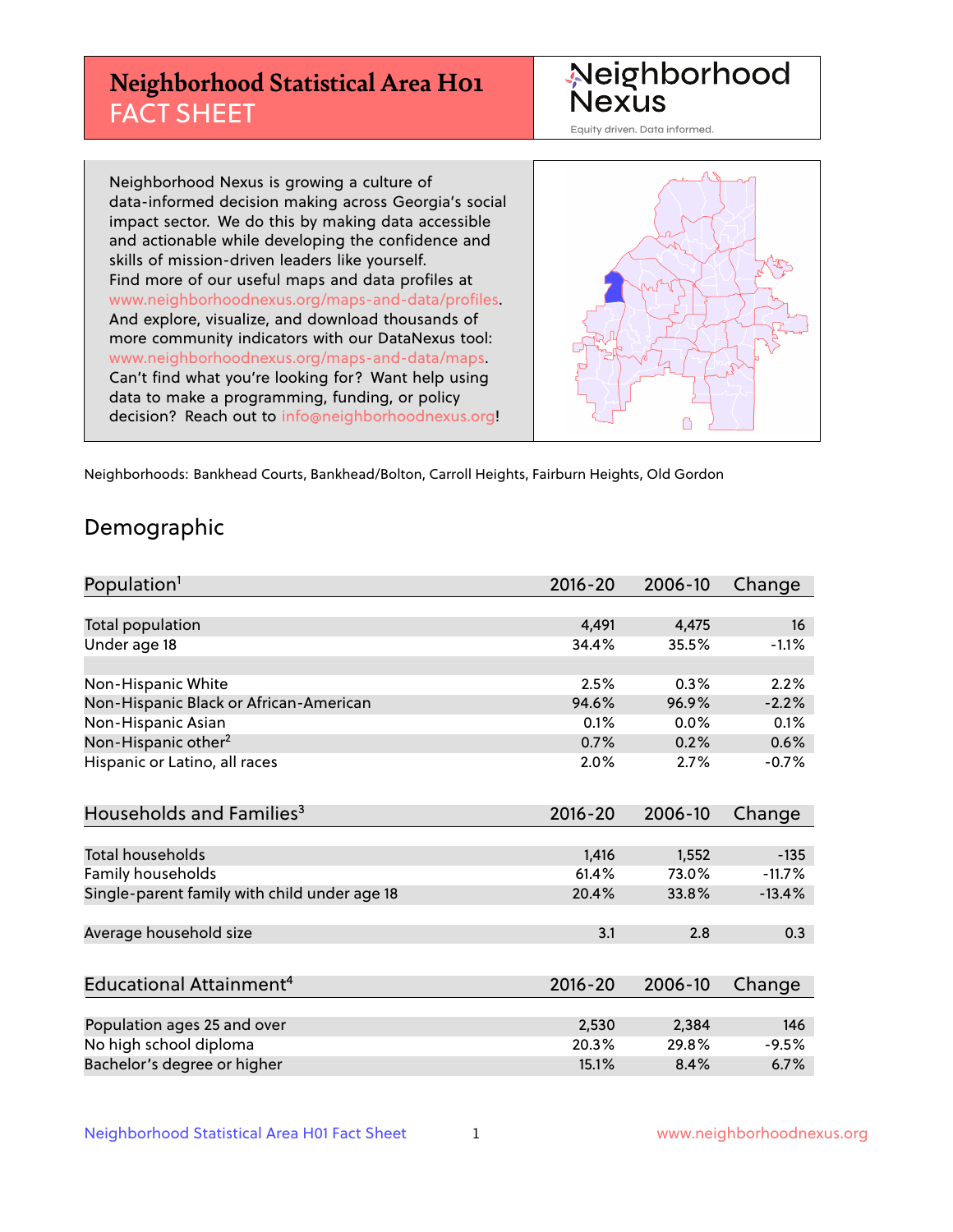## **Neighborhood Statistical Area H01** FACT SHEET



Equity driven. Data informed.

Neighborhood Nexus is growing a culture of data-informed decision making across Georgia's social impact sector. We do this by making data accessible and actionable while developing the confidence and skills of mission-driven leaders like yourself. Find more of our useful maps and data profiles at www.neighborhoodnexus.org/maps-and-data/profiles. And explore, visualize, and download thousands of more community indicators with our DataNexus tool: www.neighborhoodnexus.org/maps-and-data/maps. Can't find what you're looking for? Want help using data to make a programming, funding, or policy decision? Reach out to [info@neighborhoodnexus.org!](mailto:info@neighborhoodnexus.org)



Neighborhoods: Bankhead Courts, Bankhead/Bolton, Carroll Heights, Fairburn Heights, Old Gordon

### Demographic

| Population <sup>1</sup>                      | $2016 - 20$ | 2006-10 | Change   |
|----------------------------------------------|-------------|---------|----------|
|                                              |             |         |          |
| Total population                             | 4,491       | 4,475   | 16       |
| Under age 18                                 | 34.4%       | 35.5%   | $-1.1%$  |
|                                              |             |         |          |
| Non-Hispanic White                           | 2.5%        | 0.3%    | 2.2%     |
| Non-Hispanic Black or African-American       | 94.6%       | 96.9%   | $-2.2%$  |
| Non-Hispanic Asian                           | 0.1%        | 0.0%    | 0.1%     |
| Non-Hispanic other <sup>2</sup>              | 0.7%        | 0.2%    | 0.6%     |
| Hispanic or Latino, all races                | 2.0%        | 2.7%    | $-0.7%$  |
|                                              |             |         |          |
| Households and Families <sup>3</sup>         | $2016 - 20$ | 2006-10 | Change   |
|                                              |             |         |          |
| <b>Total households</b>                      | 1,416       | 1,552   | $-135$   |
| Family households                            | 61.4%       | 73.0%   | $-11.7%$ |
| Single-parent family with child under age 18 | 20.4%       | 33.8%   | $-13.4%$ |
|                                              |             |         |          |
| Average household size                       | 3.1         | 2.8     | 0.3      |
|                                              |             |         |          |
| Educational Attainment <sup>4</sup>          | $2016 - 20$ | 2006-10 | Change   |
|                                              |             |         |          |
| Population ages 25 and over                  | 2,530       | 2,384   | 146      |
| No high school diploma                       | 20.3%       | 29.8%   | $-9.5%$  |
| Bachelor's degree or higher                  | 15.1%       | 8.4%    | 6.7%     |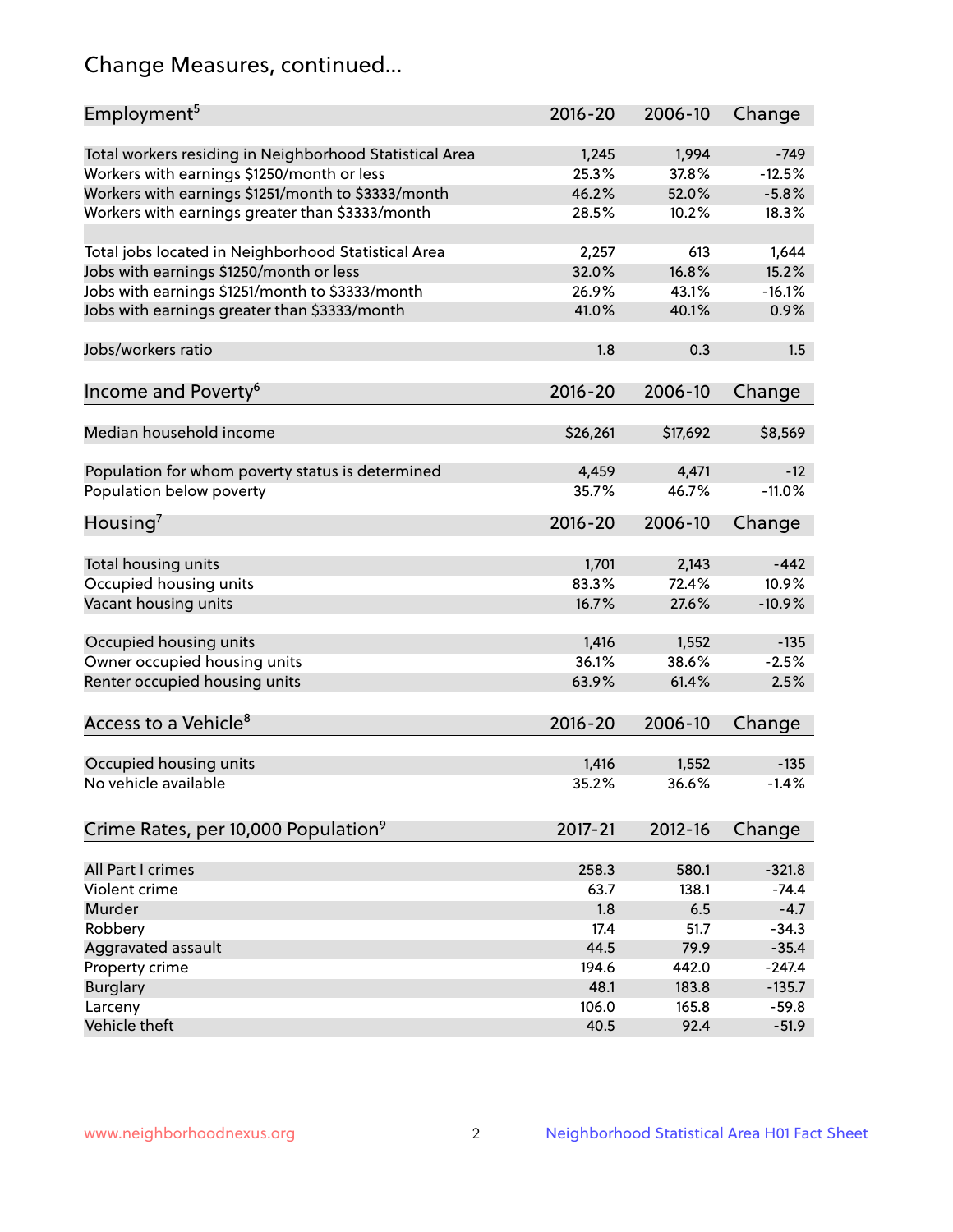## Change Measures, continued...

| Employment <sup>5</sup>                                 | $2016 - 20$    | 2006-10        | Change             |
|---------------------------------------------------------|----------------|----------------|--------------------|
|                                                         |                |                |                    |
| Total workers residing in Neighborhood Statistical Area | 1,245<br>25.3% | 1,994          | $-749$<br>$-12.5%$ |
| Workers with earnings \$1250/month or less              | 46.2%          | 37.8%<br>52.0% | $-5.8%$            |
| Workers with earnings \$1251/month to \$3333/month      | 28.5%          | 10.2%          | 18.3%              |
| Workers with earnings greater than \$3333/month         |                |                |                    |
| Total jobs located in Neighborhood Statistical Area     | 2,257          | 613            | 1,644              |
| Jobs with earnings \$1250/month or less                 | 32.0%          | 16.8%          | 15.2%              |
| Jobs with earnings \$1251/month to \$3333/month         | 26.9%          | 43.1%          | $-16.1%$           |
| Jobs with earnings greater than \$3333/month            | 41.0%          | 40.1%          | 0.9%               |
|                                                         |                |                |                    |
| Jobs/workers ratio                                      | 1.8            | 0.3            | 1.5                |
|                                                         |                |                |                    |
| Income and Poverty <sup>6</sup>                         | 2016-20        | 2006-10        | Change             |
|                                                         |                |                |                    |
| Median household income                                 | \$26,261       | \$17,692       | \$8,569            |
|                                                         |                |                |                    |
| Population for whom poverty status is determined        | 4,459          | 4,471          | $-12$              |
| Population below poverty                                | 35.7%          | 46.7%          | $-11.0%$           |
|                                                         |                |                |                    |
| Housing <sup>7</sup>                                    | 2016-20        | 2006-10        | Change             |
|                                                         |                |                |                    |
| Total housing units                                     | 1,701          | 2,143          | $-442$             |
| Occupied housing units                                  | 83.3%          | 72.4%          | 10.9%              |
| Vacant housing units                                    | 16.7%          | 27.6%          | $-10.9%$           |
|                                                         |                |                | $-135$             |
| Occupied housing units                                  | 1,416<br>36.1% | 1,552<br>38.6% | $-2.5%$            |
| Owner occupied housing units                            |                |                | 2.5%               |
| Renter occupied housing units                           | 63.9%          | 61.4%          |                    |
|                                                         |                |                |                    |
| Access to a Vehicle <sup>8</sup>                        | $2016 - 20$    | 2006-10        | Change             |
|                                                         |                |                |                    |
| Occupied housing units                                  | 1,416          | 1,552          | $-135$             |
| No vehicle available                                    | 35.2%          | 36.6%          | $-1.4%$            |
|                                                         |                |                |                    |
| Crime Rates, per 10,000 Population <sup>9</sup>         | 2017-21        | 2012-16        | Change             |
|                                                         |                |                |                    |
| All Part I crimes                                       | 258.3          | 580.1          | $-321.8$           |
| Violent crime                                           | 63.7           | 138.1          | $-74.4$            |
| Murder                                                  | 1.8            | 6.5            | $-4.7$             |
| Robbery                                                 | 17.4           | 51.7           | $-34.3$            |
| Aggravated assault                                      | 44.5           | 79.9           | $-35.4$            |
| Property crime                                          | 194.6          | 442.0          | $-247.4$           |
| <b>Burglary</b>                                         | 48.1           | 183.8          | $-135.7$           |
| Larceny                                                 | 106.0          | 165.8          | $-59.8$            |
| Vehicle theft                                           | 40.5           | 92.4           | $-51.9$            |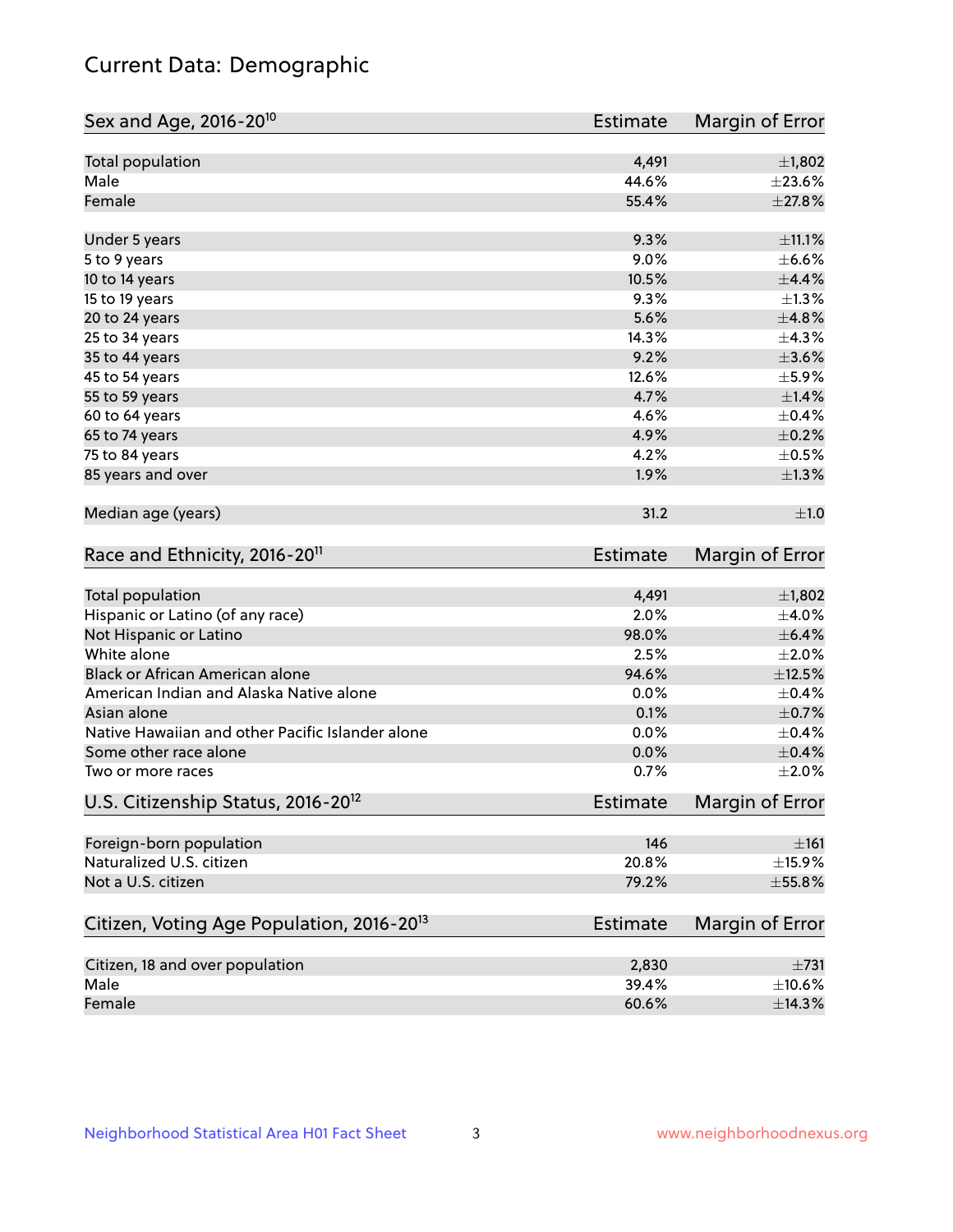## Current Data: Demographic

| Total population<br>4,491<br>$\pm$ 1,802<br>Male<br>44.6%<br>±23.6%<br>Female<br>55.4%<br>9.3%<br>$\pm$ 11.1%<br>Under 5 years<br>9.0%<br>5 to 9 years<br>10 to 14 years<br>10.5%<br>9.3%<br>15 to 19 years<br>5.6%<br>20 to 24 years<br>14.3%<br>25 to 34 years<br>9.2%<br>35 to 44 years<br>12.6%<br>45 to 54 years<br>4.7%<br>55 to 59 years<br>4.6%<br>60 to 64 years<br>$\pm$ 0.2%<br>65 to 74 years<br>4.9%<br>4.2%<br>75 to 84 years<br>85 years and over<br>1.9%<br>Median age (years)<br>31.2<br>Race and Ethnicity, 2016-20 <sup>11</sup><br><b>Estimate</b><br>Total population<br>4,491<br>$\pm$ 1,802<br>Hispanic or Latino (of any race)<br>2.0%<br>$\pm$ 4.0%<br>$\pm$ 6.4%<br>Not Hispanic or Latino<br>98.0%<br>White alone<br>2.5%<br>$\pm 2.0\%$<br>Black or African American alone<br>$\pm$ 12.5%<br>94.6%<br>American Indian and Alaska Native alone<br>0.0%<br>$\pm$ 0.4%<br>0.1%<br>$\pm$ 0.7%<br>Asian alone<br>Native Hawaiian and other Pacific Islander alone<br>0.0%<br>$\pm$ 0.4%<br>$\pm$ 0.4%<br>Some other race alone<br>0.0%<br>0.7%<br>Two or more races<br>U.S. Citizenship Status, 2016-20 <sup>12</sup><br><b>Estimate</b><br>Foreign-born population<br>146<br>$\pm 161$<br>Naturalized U.S. citizen<br>20.8%<br>$\pm$ 15.9%<br>Not a U.S. citizen<br>79.2%<br>Citizen, Voting Age Population, 2016-20 <sup>13</sup><br><b>Estimate</b><br>Citizen, 18 and over population<br>2,830<br>$\pm 731$<br>Male<br>39.4%<br>$\pm 10.6\%$ | Sex and Age, 2016-20 <sup>10</sup> | Estimate | Margin of Error |
|-------------------------------------------------------------------------------------------------------------------------------------------------------------------------------------------------------------------------------------------------------------------------------------------------------------------------------------------------------------------------------------------------------------------------------------------------------------------------------------------------------------------------------------------------------------------------------------------------------------------------------------------------------------------------------------------------------------------------------------------------------------------------------------------------------------------------------------------------------------------------------------------------------------------------------------------------------------------------------------------------------------------------------------------------------------------------------------------------------------------------------------------------------------------------------------------------------------------------------------------------------------------------------------------------------------------------------------------------------------------------------------------------------------------------------------------------------------------------|------------------------------------|----------|-----------------|
|                                                                                                                                                                                                                                                                                                                                                                                                                                                                                                                                                                                                                                                                                                                                                                                                                                                                                                                                                                                                                                                                                                                                                                                                                                                                                                                                                                                                                                                                         |                                    |          |                 |
|                                                                                                                                                                                                                                                                                                                                                                                                                                                                                                                                                                                                                                                                                                                                                                                                                                                                                                                                                                                                                                                                                                                                                                                                                                                                                                                                                                                                                                                                         |                                    |          |                 |
|                                                                                                                                                                                                                                                                                                                                                                                                                                                                                                                                                                                                                                                                                                                                                                                                                                                                                                                                                                                                                                                                                                                                                                                                                                                                                                                                                                                                                                                                         |                                    |          | $\pm 27.8\%$    |
|                                                                                                                                                                                                                                                                                                                                                                                                                                                                                                                                                                                                                                                                                                                                                                                                                                                                                                                                                                                                                                                                                                                                                                                                                                                                                                                                                                                                                                                                         |                                    |          |                 |
|                                                                                                                                                                                                                                                                                                                                                                                                                                                                                                                                                                                                                                                                                                                                                                                                                                                                                                                                                                                                                                                                                                                                                                                                                                                                                                                                                                                                                                                                         |                                    |          | $\pm$ 6.6%      |
|                                                                                                                                                                                                                                                                                                                                                                                                                                                                                                                                                                                                                                                                                                                                                                                                                                                                                                                                                                                                                                                                                                                                                                                                                                                                                                                                                                                                                                                                         |                                    |          | $\pm$ 4.4%      |
|                                                                                                                                                                                                                                                                                                                                                                                                                                                                                                                                                                                                                                                                                                                                                                                                                                                                                                                                                                                                                                                                                                                                                                                                                                                                                                                                                                                                                                                                         |                                    |          | $\pm 1.3\%$     |
|                                                                                                                                                                                                                                                                                                                                                                                                                                                                                                                                                                                                                                                                                                                                                                                                                                                                                                                                                                                                                                                                                                                                                                                                                                                                                                                                                                                                                                                                         |                                    |          | ±4.8%           |
|                                                                                                                                                                                                                                                                                                                                                                                                                                                                                                                                                                                                                                                                                                                                                                                                                                                                                                                                                                                                                                                                                                                                                                                                                                                                                                                                                                                                                                                                         |                                    |          | ±4.3%           |
|                                                                                                                                                                                                                                                                                                                                                                                                                                                                                                                                                                                                                                                                                                                                                                                                                                                                                                                                                                                                                                                                                                                                                                                                                                                                                                                                                                                                                                                                         |                                    |          | $\pm 3.6\%$     |
|                                                                                                                                                                                                                                                                                                                                                                                                                                                                                                                                                                                                                                                                                                                                                                                                                                                                                                                                                                                                                                                                                                                                                                                                                                                                                                                                                                                                                                                                         |                                    |          | $\pm$ 5.9%      |
|                                                                                                                                                                                                                                                                                                                                                                                                                                                                                                                                                                                                                                                                                                                                                                                                                                                                                                                                                                                                                                                                                                                                                                                                                                                                                                                                                                                                                                                                         |                                    |          | $\pm 1.4\%$     |
|                                                                                                                                                                                                                                                                                                                                                                                                                                                                                                                                                                                                                                                                                                                                                                                                                                                                                                                                                                                                                                                                                                                                                                                                                                                                                                                                                                                                                                                                         |                                    |          | $\pm$ 0.4%      |
|                                                                                                                                                                                                                                                                                                                                                                                                                                                                                                                                                                                                                                                                                                                                                                                                                                                                                                                                                                                                                                                                                                                                                                                                                                                                                                                                                                                                                                                                         |                                    |          |                 |
|                                                                                                                                                                                                                                                                                                                                                                                                                                                                                                                                                                                                                                                                                                                                                                                                                                                                                                                                                                                                                                                                                                                                                                                                                                                                                                                                                                                                                                                                         |                                    |          | $\pm$ 0.5%      |
|                                                                                                                                                                                                                                                                                                                                                                                                                                                                                                                                                                                                                                                                                                                                                                                                                                                                                                                                                                                                                                                                                                                                                                                                                                                                                                                                                                                                                                                                         |                                    |          | $\pm 1.3\%$     |
|                                                                                                                                                                                                                                                                                                                                                                                                                                                                                                                                                                                                                                                                                                                                                                                                                                                                                                                                                                                                                                                                                                                                                                                                                                                                                                                                                                                                                                                                         |                                    |          | ±1.0            |
|                                                                                                                                                                                                                                                                                                                                                                                                                                                                                                                                                                                                                                                                                                                                                                                                                                                                                                                                                                                                                                                                                                                                                                                                                                                                                                                                                                                                                                                                         |                                    |          | Margin of Error |
|                                                                                                                                                                                                                                                                                                                                                                                                                                                                                                                                                                                                                                                                                                                                                                                                                                                                                                                                                                                                                                                                                                                                                                                                                                                                                                                                                                                                                                                                         |                                    |          |                 |
|                                                                                                                                                                                                                                                                                                                                                                                                                                                                                                                                                                                                                                                                                                                                                                                                                                                                                                                                                                                                                                                                                                                                                                                                                                                                                                                                                                                                                                                                         |                                    |          |                 |
|                                                                                                                                                                                                                                                                                                                                                                                                                                                                                                                                                                                                                                                                                                                                                                                                                                                                                                                                                                                                                                                                                                                                                                                                                                                                                                                                                                                                                                                                         |                                    |          |                 |
|                                                                                                                                                                                                                                                                                                                                                                                                                                                                                                                                                                                                                                                                                                                                                                                                                                                                                                                                                                                                                                                                                                                                                                                                                                                                                                                                                                                                                                                                         |                                    |          |                 |
|                                                                                                                                                                                                                                                                                                                                                                                                                                                                                                                                                                                                                                                                                                                                                                                                                                                                                                                                                                                                                                                                                                                                                                                                                                                                                                                                                                                                                                                                         |                                    |          |                 |
|                                                                                                                                                                                                                                                                                                                                                                                                                                                                                                                                                                                                                                                                                                                                                                                                                                                                                                                                                                                                                                                                                                                                                                                                                                                                                                                                                                                                                                                                         |                                    |          |                 |
|                                                                                                                                                                                                                                                                                                                                                                                                                                                                                                                                                                                                                                                                                                                                                                                                                                                                                                                                                                                                                                                                                                                                                                                                                                                                                                                                                                                                                                                                         |                                    |          |                 |
|                                                                                                                                                                                                                                                                                                                                                                                                                                                                                                                                                                                                                                                                                                                                                                                                                                                                                                                                                                                                                                                                                                                                                                                                                                                                                                                                                                                                                                                                         |                                    |          |                 |
|                                                                                                                                                                                                                                                                                                                                                                                                                                                                                                                                                                                                                                                                                                                                                                                                                                                                                                                                                                                                                                                                                                                                                                                                                                                                                                                                                                                                                                                                         |                                    |          |                 |
|                                                                                                                                                                                                                                                                                                                                                                                                                                                                                                                                                                                                                                                                                                                                                                                                                                                                                                                                                                                                                                                                                                                                                                                                                                                                                                                                                                                                                                                                         |                                    |          | $\pm 2.0\%$     |
|                                                                                                                                                                                                                                                                                                                                                                                                                                                                                                                                                                                                                                                                                                                                                                                                                                                                                                                                                                                                                                                                                                                                                                                                                                                                                                                                                                                                                                                                         |                                    |          | Margin of Error |
|                                                                                                                                                                                                                                                                                                                                                                                                                                                                                                                                                                                                                                                                                                                                                                                                                                                                                                                                                                                                                                                                                                                                                                                                                                                                                                                                                                                                                                                                         |                                    |          |                 |
|                                                                                                                                                                                                                                                                                                                                                                                                                                                                                                                                                                                                                                                                                                                                                                                                                                                                                                                                                                                                                                                                                                                                                                                                                                                                                                                                                                                                                                                                         |                                    |          |                 |
|                                                                                                                                                                                                                                                                                                                                                                                                                                                                                                                                                                                                                                                                                                                                                                                                                                                                                                                                                                                                                                                                                                                                                                                                                                                                                                                                                                                                                                                                         |                                    |          | $\pm$ 55.8%     |
|                                                                                                                                                                                                                                                                                                                                                                                                                                                                                                                                                                                                                                                                                                                                                                                                                                                                                                                                                                                                                                                                                                                                                                                                                                                                                                                                                                                                                                                                         |                                    |          | Margin of Error |
|                                                                                                                                                                                                                                                                                                                                                                                                                                                                                                                                                                                                                                                                                                                                                                                                                                                                                                                                                                                                                                                                                                                                                                                                                                                                                                                                                                                                                                                                         |                                    |          |                 |
|                                                                                                                                                                                                                                                                                                                                                                                                                                                                                                                                                                                                                                                                                                                                                                                                                                                                                                                                                                                                                                                                                                                                                                                                                                                                                                                                                                                                                                                                         |                                    |          |                 |
|                                                                                                                                                                                                                                                                                                                                                                                                                                                                                                                                                                                                                                                                                                                                                                                                                                                                                                                                                                                                                                                                                                                                                                                                                                                                                                                                                                                                                                                                         | Female                             | 60.6%    | ±14.3%          |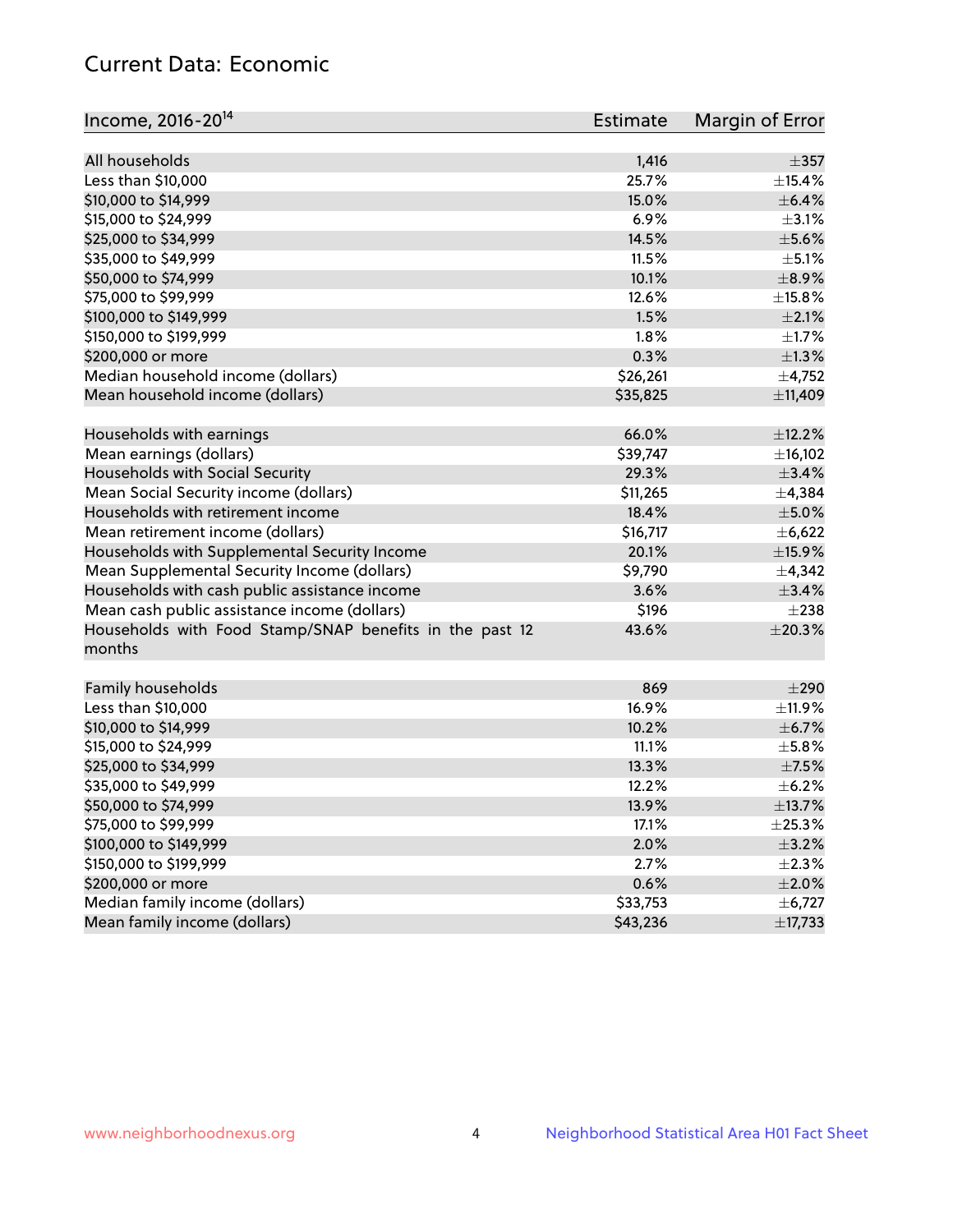## Current Data: Economic

| Income, 2016-20 <sup>14</sup>                                     | Estimate | Margin of Error |
|-------------------------------------------------------------------|----------|-----------------|
|                                                                   |          |                 |
| All households                                                    | 1,416    | $\pm$ 357       |
| Less than \$10,000                                                | 25.7%    | ±15.4%          |
| \$10,000 to \$14,999                                              | 15.0%    | $\pm$ 6.4%      |
| \$15,000 to \$24,999                                              | 6.9%     | $\pm$ 3.1%      |
| \$25,000 to \$34,999                                              | 14.5%    | $\pm$ 5.6%      |
| \$35,000 to \$49,999                                              | 11.5%    | $\pm$ 5.1%      |
| \$50,000 to \$74,999                                              | 10.1%    | $\pm$ 8.9%      |
| \$75,000 to \$99,999                                              | 12.6%    | $\pm$ 15.8%     |
| \$100,000 to \$149,999                                            | 1.5%     | $\pm 2.1\%$     |
| \$150,000 to \$199,999                                            | 1.8%     | ±1.7%           |
| \$200,000 or more                                                 | 0.3%     | $\pm 1.3\%$     |
| Median household income (dollars)                                 | \$26,261 | $\pm$ 4,752     |
| Mean household income (dollars)                                   | \$35,825 | ±11,409         |
| Households with earnings                                          | 66.0%    | ±12.2%          |
| Mean earnings (dollars)                                           | \$39,747 | ±16,102         |
| Households with Social Security                                   | 29.3%    | $\pm$ 3.4%      |
| Mean Social Security income (dollars)                             | \$11,265 | ±4,384          |
| Households with retirement income                                 | 18.4%    | $\pm$ 5.0%      |
| Mean retirement income (dollars)                                  | \$16,717 | ±6,622          |
| Households with Supplemental Security Income                      | 20.1%    | $\pm$ 15.9%     |
| Mean Supplemental Security Income (dollars)                       | \$9,790  | ±4,342          |
| Households with cash public assistance income                     | 3.6%     | ±3.4%           |
| Mean cash public assistance income (dollars)                      | \$196    | $\pm 238$       |
|                                                                   | 43.6%    | $\pm 20.3\%$    |
| Households with Food Stamp/SNAP benefits in the past 12<br>months |          |                 |
| Family households                                                 | 869      | $\pm 290$       |
| Less than \$10,000                                                | 16.9%    | $\pm$ 11.9%     |
| \$10,000 to \$14,999                                              | 10.2%    | $\pm$ 6.7%      |
| \$15,000 to \$24,999                                              | 11.1%    | $\pm$ 5.8%      |
| \$25,000 to \$34,999                                              | 13.3%    | $\pm$ 7.5%      |
| \$35,000 to \$49,999                                              | 12.2%    | $\pm$ 6.2%      |
| \$50,000 to \$74,999                                              | 13.9%    | ±13.7%          |
| \$75,000 to \$99,999                                              | 17.1%    | ±25.3%          |
| \$100,000 to \$149,999                                            | 2.0%     | $\pm$ 3.2%      |
| \$150,000 to \$199,999                                            | 2.7%     | $\pm 2.3\%$     |
| \$200,000 or more                                                 | 0.6%     | $\pm 2.0\%$     |
| Median family income (dollars)                                    | \$33,753 | ±6,727          |
| Mean family income (dollars)                                      | \$43,236 | ±17,733         |
|                                                                   |          |                 |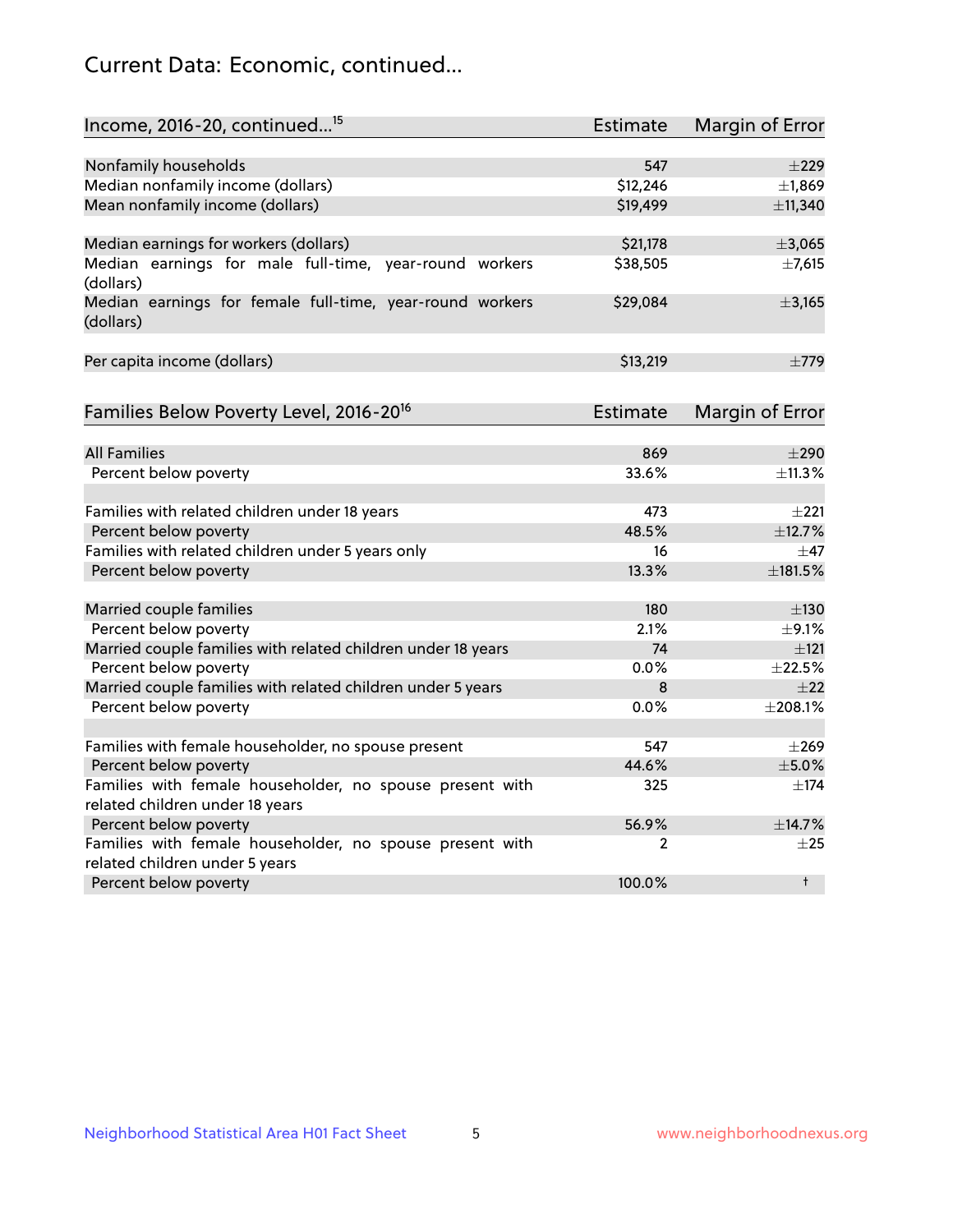## Current Data: Economic, continued...

| Income, 2016-20, continued <sup>15</sup>                              | <b>Estimate</b> | <b>Margin of Error</b> |
|-----------------------------------------------------------------------|-----------------|------------------------|
|                                                                       |                 |                        |
| Nonfamily households                                                  | 547             | $\pm 229$              |
| Median nonfamily income (dollars)                                     | \$12,246        | ±1,869                 |
| Mean nonfamily income (dollars)                                       | \$19,499        | ±11,340                |
| Median earnings for workers (dollars)                                 | \$21,178        | ±3,065                 |
| Median earnings for male full-time, year-round workers<br>(dollars)   | \$38,505        | ±7,615                 |
| Median earnings for female full-time, year-round workers<br>(dollars) | \$29,084        | ±3,165                 |
| Per capita income (dollars)                                           | \$13,219        | $\pm 779$              |
| Families Below Poverty Level, 2016-20 <sup>16</sup>                   | <b>Estimate</b> | <b>Margin of Error</b> |
|                                                                       |                 |                        |
| <b>All Families</b>                                                   | 869             | $\pm 290$              |
| Percent below poverty                                                 | 33.6%           | ±11.3%                 |
| Families with related children under 18 years                         | 473             | $\pm 221$              |
| Percent below poverty                                                 | 48.5%           | ±12.7%                 |
| Families with related children under 5 years only                     | 16              | $\pm$ 47               |
| Percent below poverty                                                 | 13.3%           | ±181.5%                |
| Married couple families                                               | 180             | $\pm$ 130              |
| Percent below poverty                                                 | 2.1%            | $\pm$ 9.1%             |
| Married couple families with related children under 18 years          | 74              | $\pm 121$              |
| Percent below poverty                                                 | $0.0\%$         | ±22.5%                 |
| Married couple families with related children under 5 years           | 8               | $\pm 22$               |
| Percent below poverty                                                 | $0.0\%$         | ±208.1%                |
| Families with female householder, no spouse present                   | 547             | $\pm 269$              |
| Percent below poverty                                                 | 44.6%           | $\pm$ 5.0%             |
| Families with female householder, no spouse present with              | 325             | $\pm$ 174              |
| related children under 18 years                                       |                 |                        |
| Percent below poverty                                                 | 56.9%           | ±14.7%                 |
| Families with female householder, no spouse present with              | 2               | $\pm 25$               |
| related children under 5 years                                        |                 |                        |
| Percent below poverty                                                 | 100.0%          | $^{\dagger}$           |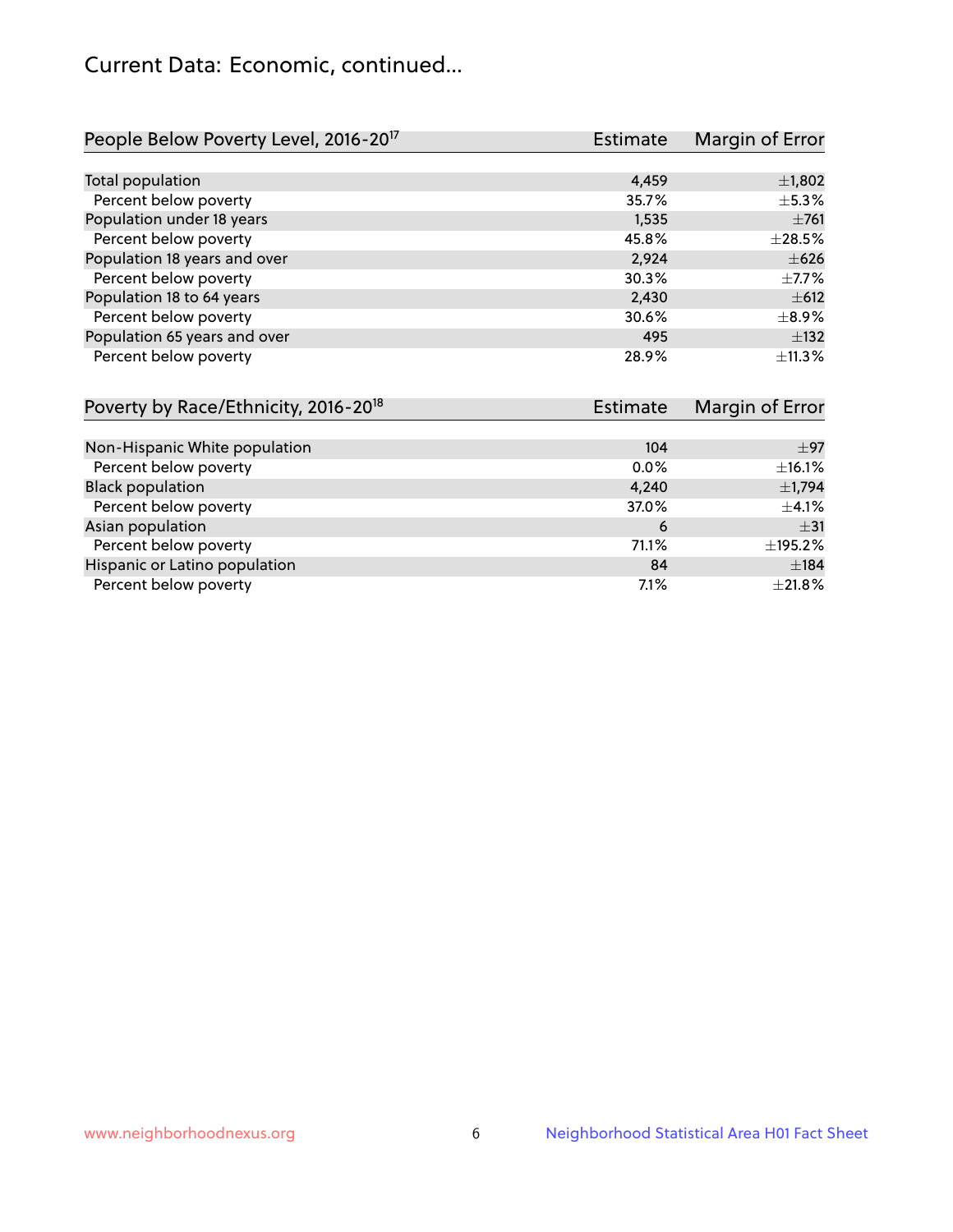## Current Data: Economic, continued...

| People Below Poverty Level, 2016-20 <sup>17</sup> | <b>Estimate</b> | Margin of Error |
|---------------------------------------------------|-----------------|-----------------|
|                                                   |                 |                 |
| Total population                                  | 4,459           | $\pm$ 1,802     |
| Percent below poverty                             | 35.7%           | $\pm$ 5.3%      |
| Population under 18 years                         | 1,535           | $\pm 761$       |
| Percent below poverty                             | 45.8%           | $\pm 28.5\%$    |
| Population 18 years and over                      | 2,924           | $\pm 626$       |
| Percent below poverty                             | 30.3%           | $\pm$ 7.7%      |
| Population 18 to 64 years                         | 2,430           | $\pm 612$       |
| Percent below poverty                             | 30.6%           | $\pm$ 8.9%      |
| Population 65 years and over                      | 495             | $\pm$ 132       |
| Percent below poverty                             | 28.9%           | ±11.3%          |

| Poverty by Race/Ethnicity, 2016-20 <sup>18</sup> | <b>Estimate</b> | Margin of Error |
|--------------------------------------------------|-----------------|-----------------|
|                                                  |                 |                 |
| Non-Hispanic White population                    | 104             | $\pm 97$        |
| Percent below poverty                            | $0.0\%$         | $\pm$ 16.1%     |
| <b>Black population</b>                          | 4,240           | $\pm$ 1,794     |
| Percent below poverty                            | 37.0%           | $\pm$ 4.1%      |
| Asian population                                 | 6               | $\pm$ 31        |
| Percent below poverty                            | 71.1%           | ±195.2%         |
| Hispanic or Latino population                    | 84              | ±184            |
| Percent below poverty                            | 7.1%            | $\pm 21.8\%$    |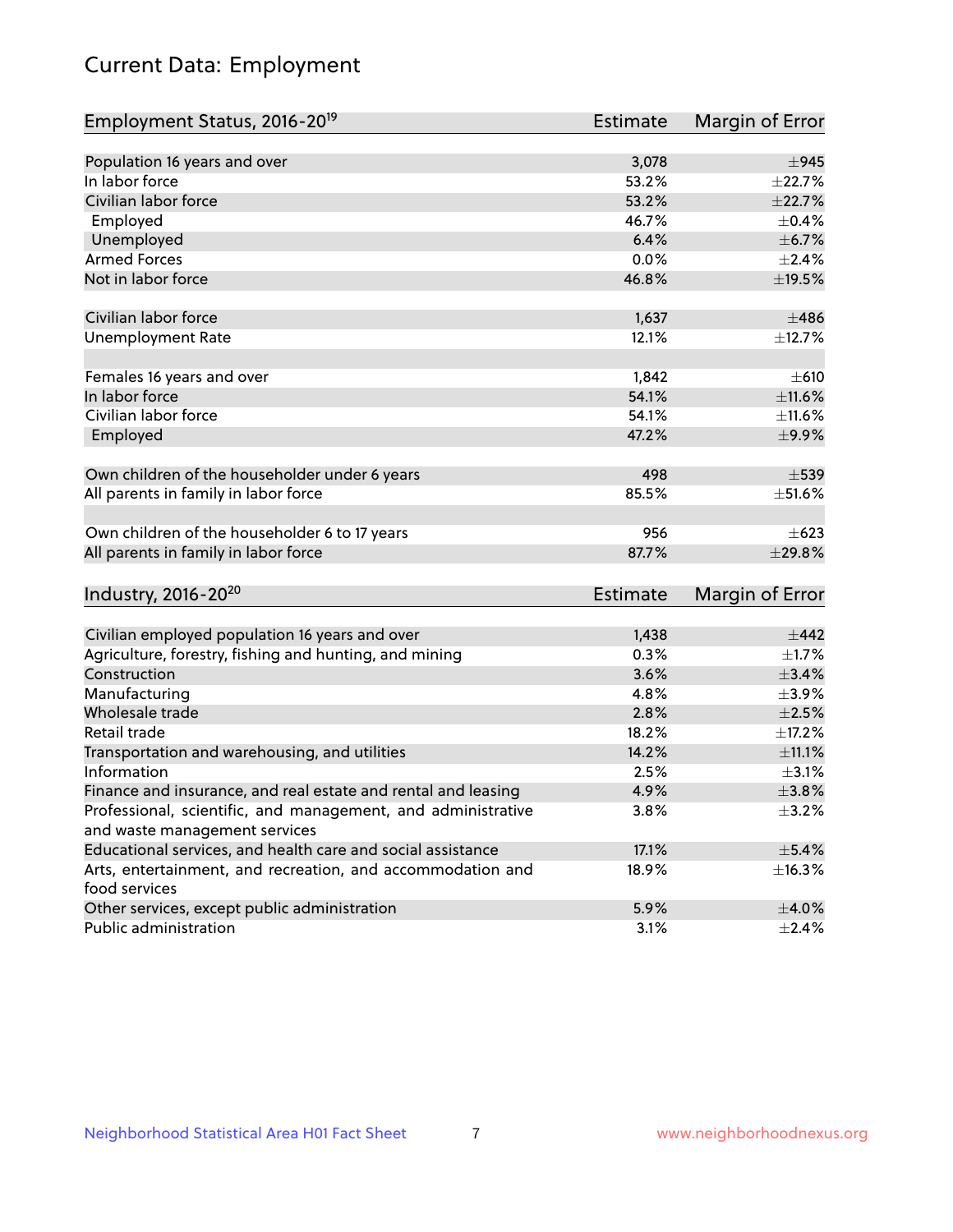# Current Data: Employment

| Employment Status, 2016-20 <sup>19</sup>                                    | <b>Estimate</b> | Margin of Error |
|-----------------------------------------------------------------------------|-----------------|-----------------|
|                                                                             |                 |                 |
| Population 16 years and over                                                | 3,078           | $\pm$ 945       |
| In labor force                                                              | 53.2%           | ±22.7%          |
| Civilian labor force                                                        | 53.2%           | ±22.7%          |
| Employed                                                                    | 46.7%           | $\pm$ 0.4%      |
| Unemployed                                                                  | 6.4%            | $\pm$ 6.7%      |
| <b>Armed Forces</b>                                                         | 0.0%            | $\pm 2.4\%$     |
| Not in labor force                                                          | 46.8%           | ±19.5%          |
| Civilian labor force                                                        | 1,637           | $\pm 486$       |
| <b>Unemployment Rate</b>                                                    | 12.1%           | ±12.7%          |
| Females 16 years and over                                                   | 1,842           | $\pm 610$       |
| In labor force                                                              | 54.1%           | ±11.6%          |
| Civilian labor force                                                        | 54.1%           | ±11.6%          |
| Employed                                                                    | 47.2%           | $\pm$ 9.9%      |
| Own children of the householder under 6 years                               | 498             | $\pm$ 539       |
| All parents in family in labor force                                        | 85.5%           | $\pm$ 51.6%     |
| Own children of the householder 6 to 17 years                               | 956             | $\pm 623$       |
| All parents in family in labor force                                        | 87.7%           | ±29.8%          |
| Industry, 2016-20 <sup>20</sup>                                             | <b>Estimate</b> | Margin of Error |
|                                                                             |                 |                 |
| Civilian employed population 16 years and over                              | 1,438           | $\pm$ 442       |
| Agriculture, forestry, fishing and hunting, and mining                      | 0.3%            | $\pm1.7\%$      |
| Construction                                                                | 3.6%            | $\pm$ 3.4%      |
| Manufacturing                                                               | 4.8%            | $\pm$ 3.9%      |
| Wholesale trade                                                             | 2.8%            | $\pm 2.5\%$     |
| Retail trade                                                                | 18.2%           | ±17.2%          |
| Transportation and warehousing, and utilities                               | 14.2%           | $\pm$ 11.1%     |
| Information                                                                 | 2.5%            | $\pm$ 3.1%      |
| Finance and insurance, and real estate and rental and leasing               | 4.9%            | ±3.8%           |
| Professional, scientific, and management, and administrative                | 3.8%            | $\pm$ 3.2%      |
| and waste management services                                               |                 |                 |
| Educational services, and health care and social assistance                 | 17.1%           | $\pm$ 5.4%      |
| Arts, entertainment, and recreation, and accommodation and<br>food services | 18.9%           | ±16.3%          |
| Other services, except public administration                                | 5.9%            | $\pm$ 4.0%      |
| Public administration                                                       | 3.1%            | $\pm 2.4\%$     |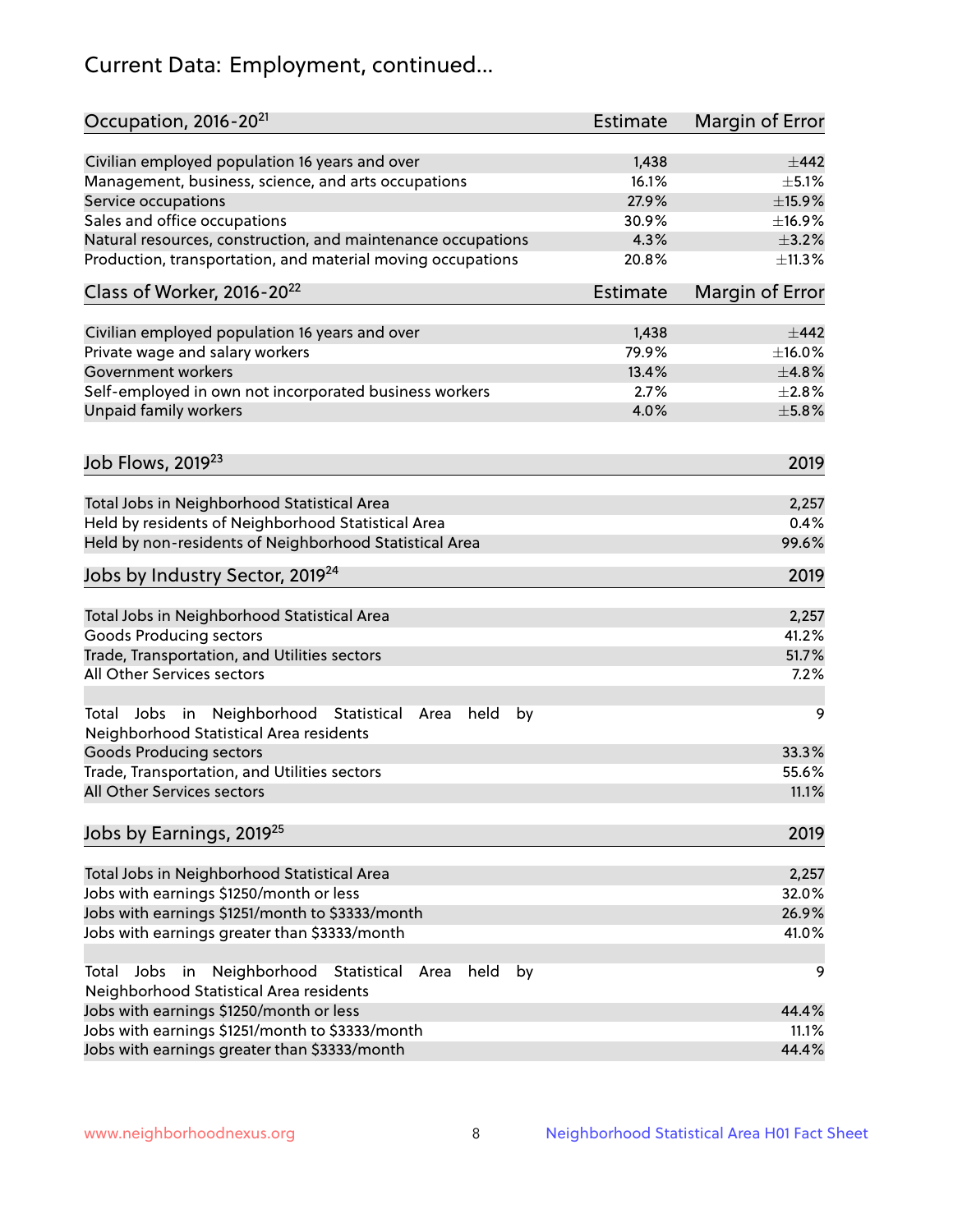# Current Data: Employment, continued...

| Occupation, 2016-20 <sup>21</sup>                                                                       | Estimate        | Margin of Error |
|---------------------------------------------------------------------------------------------------------|-----------------|-----------------|
| Civilian employed population 16 years and over                                                          | 1,438           | $\pm$ 442       |
| Management, business, science, and arts occupations                                                     | 16.1%           | $\pm$ 5.1%      |
| Service occupations                                                                                     | 27.9%           | ±15.9%          |
| Sales and office occupations                                                                            | 30.9%           | ±16.9%          |
| Natural resources, construction, and maintenance occupations                                            | 4.3%            | $\pm$ 3.2%      |
| Production, transportation, and material moving occupations                                             | 20.8%           | ±11.3%          |
| Class of Worker, 2016-20 <sup>22</sup>                                                                  | <b>Estimate</b> | Margin of Error |
| Civilian employed population 16 years and over                                                          | 1,438           | ±442            |
| Private wage and salary workers                                                                         | 79.9%           | $\pm$ 16.0%     |
| Government workers                                                                                      | 13.4%           | ±4.8%           |
| Self-employed in own not incorporated business workers                                                  | 2.7%            | $\pm 2.8\%$     |
| Unpaid family workers                                                                                   | 4.0%            | $\pm$ 5.8%      |
|                                                                                                         |                 |                 |
| Job Flows, 2019 <sup>23</sup>                                                                           |                 | 2019            |
| Total Jobs in Neighborhood Statistical Area                                                             |                 | 2,257           |
| Held by residents of Neighborhood Statistical Area                                                      |                 | 0.4%            |
| Held by non-residents of Neighborhood Statistical Area                                                  |                 | 99.6%           |
| Jobs by Industry Sector, 2019 <sup>24</sup>                                                             |                 | 2019            |
| Total Jobs in Neighborhood Statistical Area                                                             |                 | 2,257           |
| <b>Goods Producing sectors</b>                                                                          |                 | 41.2%           |
| Trade, Transportation, and Utilities sectors                                                            |                 | 51.7%           |
| All Other Services sectors                                                                              |                 | 7.2%            |
| Total Jobs in Neighborhood Statistical<br>held<br>by<br>Area<br>Neighborhood Statistical Area residents |                 | 9               |
| <b>Goods Producing sectors</b>                                                                          |                 | 33.3%           |
| Trade, Transportation, and Utilities sectors                                                            |                 | 55.6%           |
| All Other Services sectors                                                                              |                 | 11.1%           |
| Jobs by Earnings, 2019 <sup>25</sup>                                                                    |                 | 2019            |
| Total Jobs in Neighborhood Statistical Area                                                             |                 | 2,257           |
| Jobs with earnings \$1250/month or less                                                                 |                 | 32.0%           |
| Jobs with earnings \$1251/month to \$3333/month                                                         |                 | 26.9%           |
| Jobs with earnings greater than \$3333/month                                                            |                 | 41.0%           |
| Neighborhood Statistical<br>Jobs<br>in<br>held<br>by<br>Total<br>Area                                   |                 | 9               |
| Neighborhood Statistical Area residents                                                                 |                 |                 |
| Jobs with earnings \$1250/month or less                                                                 |                 | 44.4%           |
| Jobs with earnings \$1251/month to \$3333/month                                                         |                 | 11.1%           |
| Jobs with earnings greater than \$3333/month                                                            |                 | 44.4%           |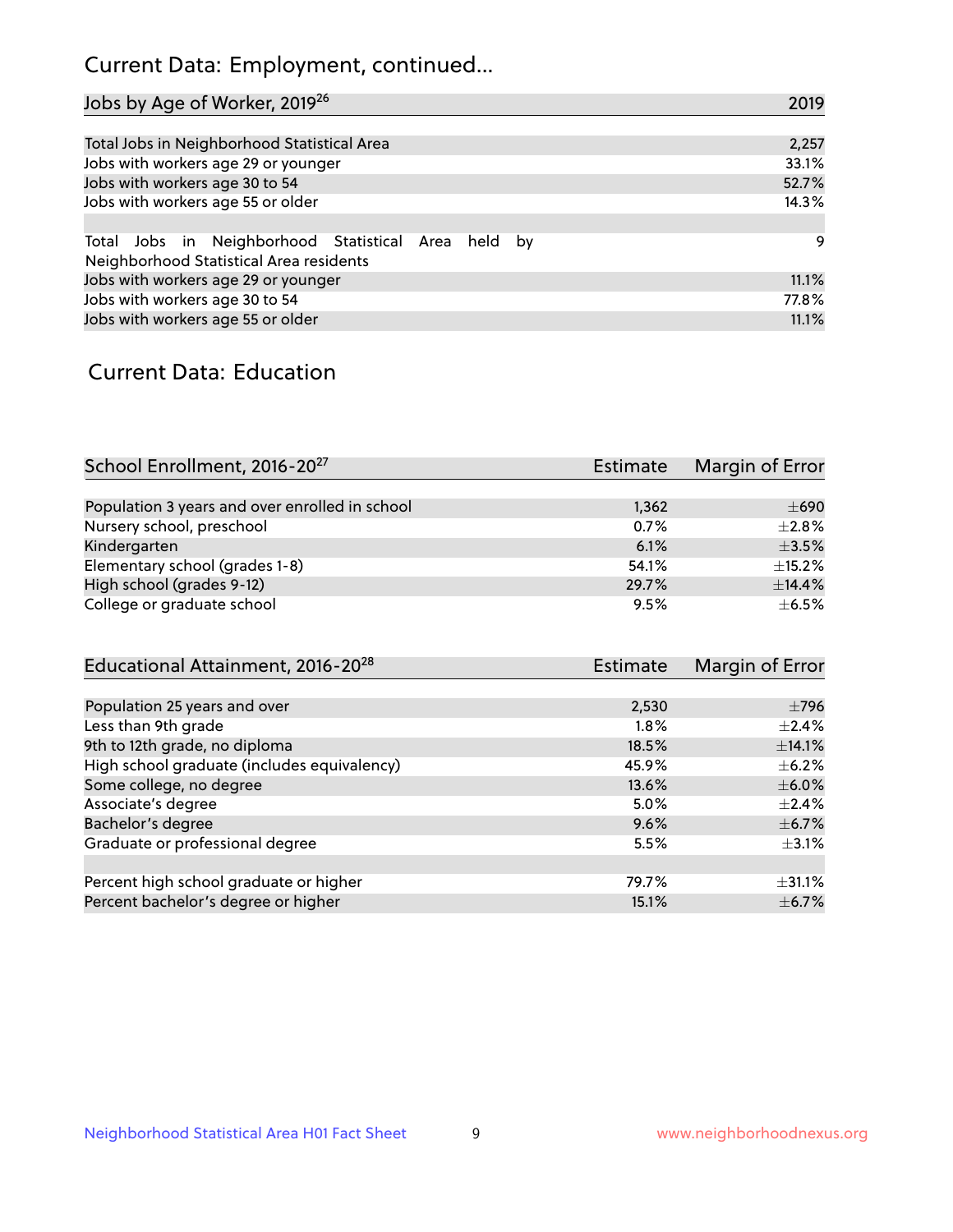## Current Data: Employment, continued...

| Jobs by Age of Worker, 2019 <sup>26</sup>                                                      | 2019  |
|------------------------------------------------------------------------------------------------|-------|
|                                                                                                |       |
| Total Jobs in Neighborhood Statistical Area                                                    | 2,257 |
| Jobs with workers age 29 or younger                                                            | 33.1% |
| Jobs with workers age 30 to 54                                                                 | 52.7% |
| Jobs with workers age 55 or older                                                              | 14.3% |
|                                                                                                |       |
| Total Jobs in Neighborhood Statistical Area held by<br>Neighborhood Statistical Area residents | 9     |
| Jobs with workers age 29 or younger                                                            | 11.1% |
| Jobs with workers age 30 to 54                                                                 | 77.8% |
| Jobs with workers age 55 or older                                                              | 11.1% |

### Current Data: Education

| School Enrollment, 2016-20 <sup>27</sup>       | Estimate | Margin of Error |
|------------------------------------------------|----------|-----------------|
|                                                |          |                 |
| Population 3 years and over enrolled in school | 1,362    | $\pm 690$       |
| Nursery school, preschool                      | 0.7%     | $+2.8%$         |
| Kindergarten                                   | 6.1%     | $\pm$ 3.5%      |
| Elementary school (grades 1-8)                 | 54.1%    | $\pm$ 15.2%     |
| High school (grades 9-12)                      | 29.7%    | ±14.4%          |
| College or graduate school                     | 9.5%     | $\pm$ 6.5%      |

| <b>Estimate</b> | Margin of Error |
|-----------------|-----------------|
|                 |                 |
| 2,530           | $\pm 796$       |
| 1.8%            | $\pm$ 2.4%      |
| 18.5%           | ±14.1%          |
| 45.9%           | $\pm$ 6.2%      |
| 13.6%           | $\pm$ 6.0%      |
| 5.0%            | $\pm 2.4\%$     |
| 9.6%            | $\pm$ 6.7%      |
| 5.5%            | $\pm$ 3.1%      |
|                 |                 |
| 79.7%           | $\pm$ 31.1%     |
| 15.1%           | $\pm$ 6.7%      |
|                 |                 |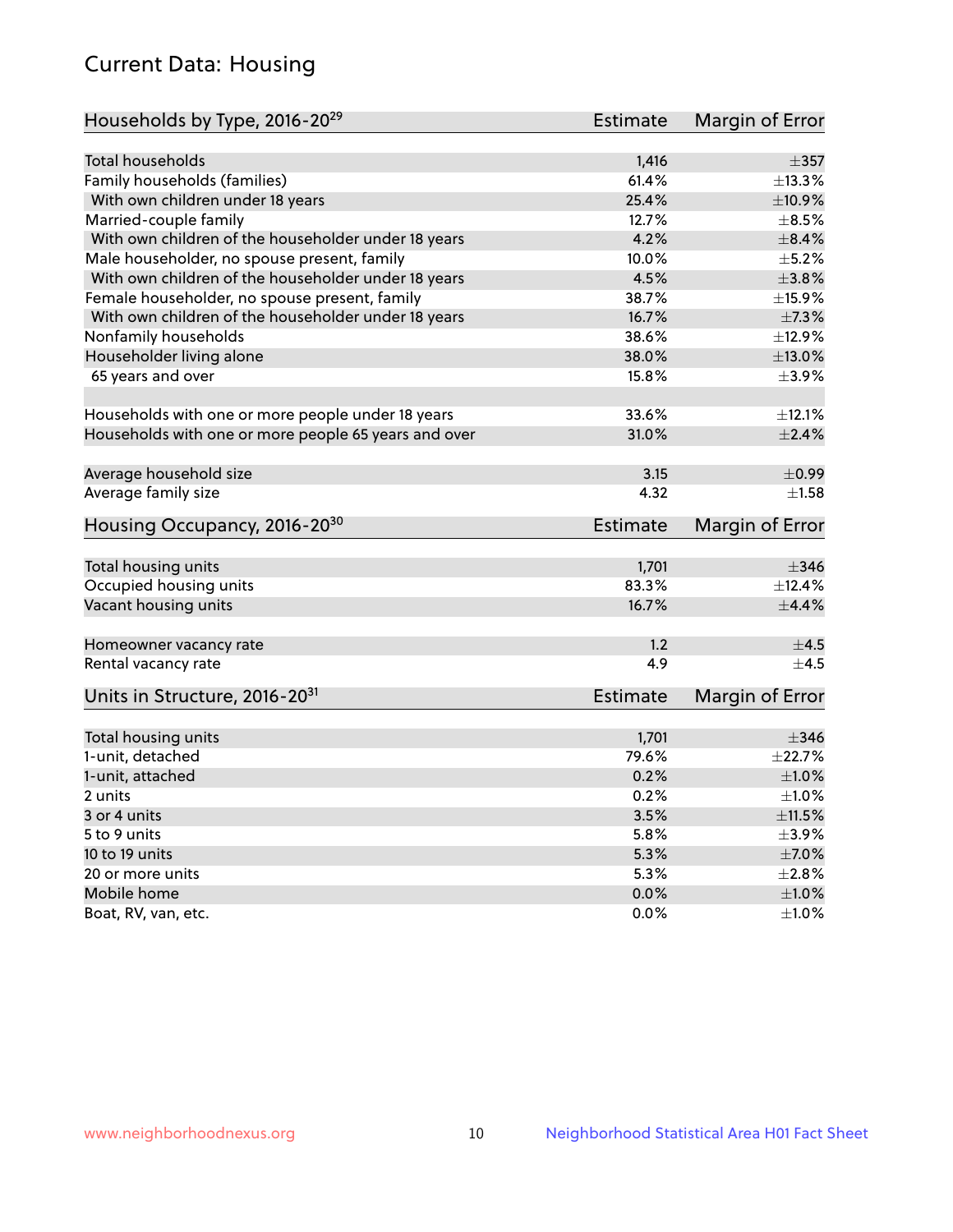## Current Data: Housing

| Households by Type, 2016-20 <sup>29</sup>            | <b>Estimate</b> | Margin of Error |
|------------------------------------------------------|-----------------|-----------------|
|                                                      |                 |                 |
| Total households                                     | 1,416           | $\pm$ 357       |
| Family households (families)                         | 61.4%           | ±13.3%          |
| With own children under 18 years                     | 25.4%           | ±10.9%          |
| Married-couple family                                | 12.7%           | $\pm$ 8.5%      |
| With own children of the householder under 18 years  | 4.2%            | $\pm$ 8.4%      |
| Male householder, no spouse present, family          | 10.0%           | $\pm$ 5.2%      |
| With own children of the householder under 18 years  | 4.5%            | $\pm 3.8\%$     |
| Female householder, no spouse present, family        | 38.7%           | ±15.9%          |
| With own children of the householder under 18 years  | 16.7%           | ±7.3%           |
| Nonfamily households                                 | 38.6%           | ±12.9%          |
| Householder living alone                             | 38.0%           | ±13.0%          |
| 65 years and over                                    | 15.8%           | $\pm$ 3.9%      |
|                                                      |                 |                 |
| Households with one or more people under 18 years    | 33.6%           | ±12.1%          |
| Households with one or more people 65 years and over | 31.0%           | $\pm 2.4\%$     |
| Average household size                               | 3.15            | $\pm$ 0.99      |
| Average family size                                  | 4.32            | $\pm 1.58$      |
| Housing Occupancy, 2016-20 <sup>30</sup>             | <b>Estimate</b> | Margin of Error |
|                                                      |                 |                 |
| Total housing units                                  | 1,701           | $\pm$ 346       |
| Occupied housing units                               | 83.3%           | ±12.4%          |
| Vacant housing units                                 | 16.7%           | $\pm$ 4.4%      |
| Homeowner vacancy rate                               | 1.2             | $\pm$ 4.5       |
| Rental vacancy rate                                  | 4.9             | $+4.5$          |
| Units in Structure, 2016-20 <sup>31</sup>            | Estimate        | Margin of Error |
|                                                      |                 |                 |
| Total housing units                                  | 1,701<br>79.6%  | $\pm$ 346       |
| 1-unit, detached                                     |                 | ±22.7%          |
| 1-unit, attached                                     | 0.2%            | $\pm1.0\%$      |
| 2 units                                              | 0.2%            | $\pm 1.0\%$     |
| 3 or 4 units                                         | 3.5%            | $\pm 11.5\%$    |
| 5 to 9 units                                         | 5.8%            | $\pm$ 3.9%      |
| 10 to 19 units                                       | 5.3%            | $\pm$ 7.0%      |
| 20 or more units                                     | 5.3%            | $\pm 2.8\%$     |
| Mobile home                                          | 0.0%            | $\pm1.0\%$      |
| Boat, RV, van, etc.                                  | $0.0\%$         | $\pm 1.0\%$     |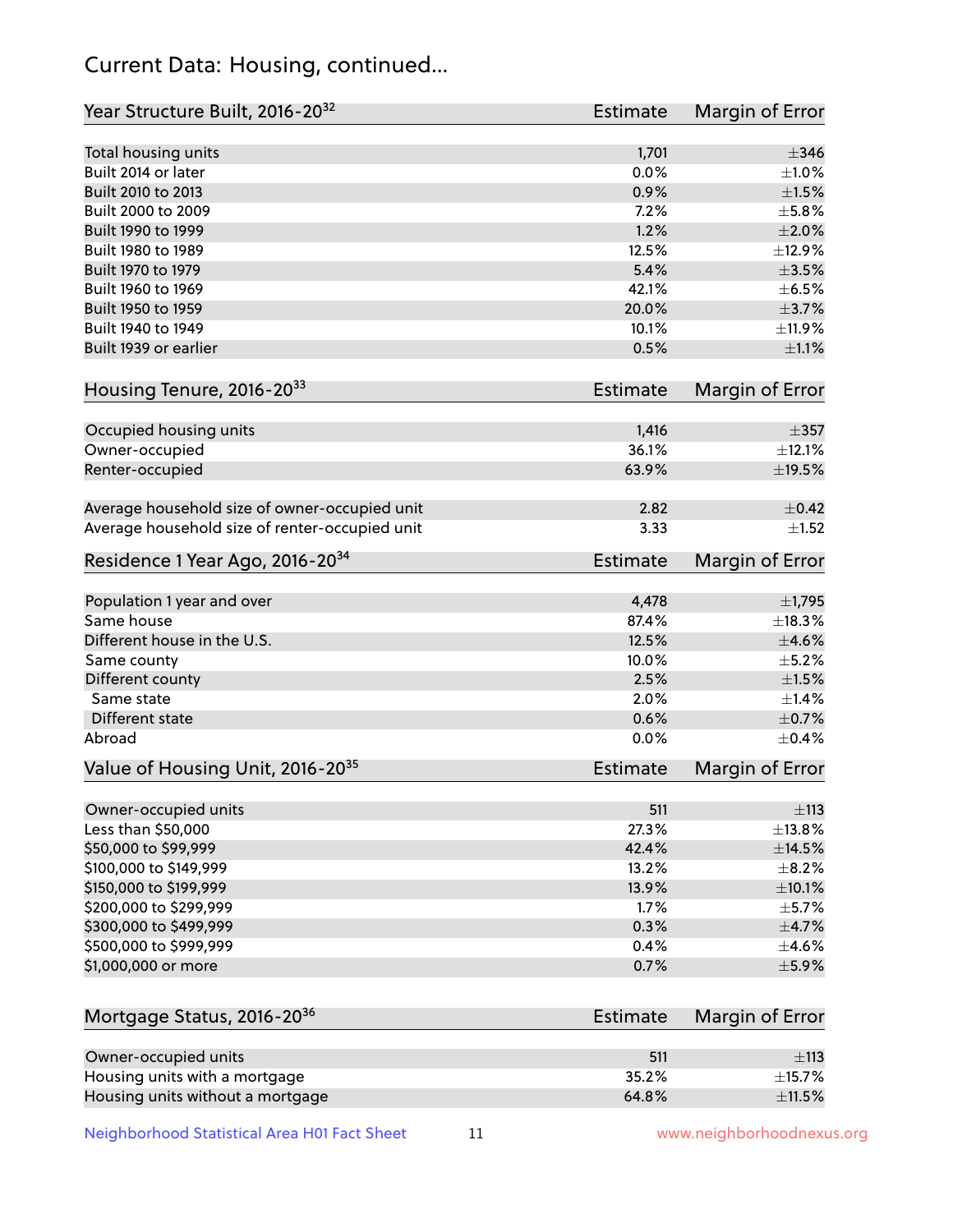## Current Data: Housing, continued...

| Total housing units<br>1,701<br>$\pm$ 346<br>Built 2014 or later<br>0.0%<br>$\pm 1.0\%$<br>Built 2010 to 2013<br>0.9%<br>$\pm1.5\%$<br>Built 2000 to 2009<br>7.2%<br>$\pm$ 5.8%<br>1.2%<br>Built 1990 to 1999<br>$\pm 2.0\%$<br>Built 1980 to 1989<br>12.5%<br>±12.9%<br>Built 1970 to 1979<br>5.4%<br>$\pm$ 3.5%<br>Built 1960 to 1969<br>42.1%<br>$\pm$ 6.5%<br>Built 1950 to 1959<br>20.0%<br>$\pm$ 3.7%<br>Built 1940 to 1949<br>10.1%<br>Built 1939 or earlier<br>0.5%<br>Housing Tenure, 2016-2033<br><b>Estimate</b><br>Occupied housing units<br>1,416<br>$\pm$ 357<br>Owner-occupied<br>36.1%<br>±12.1%<br>63.9%<br>$\pm$ 19.5%<br>Renter-occupied<br>Average household size of owner-occupied unit<br>2.82<br>Average household size of renter-occupied unit<br>3.33<br>Residence 1 Year Ago, 2016-20 <sup>34</sup><br>Estimate<br>Population 1 year and over<br>4,478<br>Same house<br>87.4%<br>Different house in the U.S.<br>12.5%<br>Same county<br>10.0%<br>Different county<br>2.5%<br>Same state<br>2.0%<br>Different state<br>0.6%<br>Abroad<br>0.0%<br>Value of Housing Unit, 2016-20 <sup>35</sup><br><b>Estimate</b><br>511<br>Owner-occupied units<br>Less than \$50,000<br>27.3%<br>\$50,000 to \$99,999<br>42.4%<br>\$100,000 to \$149,999<br>13.2%<br>\$150,000 to \$199,999<br>13.9%<br>$\pm$ 10.1%<br>\$200,000 to \$299,999<br>1.7%<br>\$300,000 to \$499,999<br>0.3%<br>$\pm$ 4.7%<br>\$500,000 to \$999,999<br>0.4%<br>$\pm$ 4.6%<br>\$1,000,000 or more<br>0.7%<br>$\pm$ 5.9%<br>Mortgage Status, 2016-20 <sup>36</sup><br>Estimate<br>Owner-occupied units<br>511<br>$\pm$ 113<br>Housing units with a mortgage<br>35.2%<br>±15.7% | Year Structure Built, 2016-20 <sup>32</sup> | <b>Estimate</b> | <b>Margin of Error</b> |
|--------------------------------------------------------------------------------------------------------------------------------------------------------------------------------------------------------------------------------------------------------------------------------------------------------------------------------------------------------------------------------------------------------------------------------------------------------------------------------------------------------------------------------------------------------------------------------------------------------------------------------------------------------------------------------------------------------------------------------------------------------------------------------------------------------------------------------------------------------------------------------------------------------------------------------------------------------------------------------------------------------------------------------------------------------------------------------------------------------------------------------------------------------------------------------------------------------------------------------------------------------------------------------------------------------------------------------------------------------------------------------------------------------------------------------------------------------------------------------------------------------------------------------------------------------------------------------------------------------------------------------------------------------------------|---------------------------------------------|-----------------|------------------------|
|                                                                                                                                                                                                                                                                                                                                                                                                                                                                                                                                                                                                                                                                                                                                                                                                                                                                                                                                                                                                                                                                                                                                                                                                                                                                                                                                                                                                                                                                                                                                                                                                                                                                    |                                             |                 |                        |
|                                                                                                                                                                                                                                                                                                                                                                                                                                                                                                                                                                                                                                                                                                                                                                                                                                                                                                                                                                                                                                                                                                                                                                                                                                                                                                                                                                                                                                                                                                                                                                                                                                                                    |                                             |                 |                        |
|                                                                                                                                                                                                                                                                                                                                                                                                                                                                                                                                                                                                                                                                                                                                                                                                                                                                                                                                                                                                                                                                                                                                                                                                                                                                                                                                                                                                                                                                                                                                                                                                                                                                    |                                             |                 |                        |
|                                                                                                                                                                                                                                                                                                                                                                                                                                                                                                                                                                                                                                                                                                                                                                                                                                                                                                                                                                                                                                                                                                                                                                                                                                                                                                                                                                                                                                                                                                                                                                                                                                                                    |                                             |                 |                        |
|                                                                                                                                                                                                                                                                                                                                                                                                                                                                                                                                                                                                                                                                                                                                                                                                                                                                                                                                                                                                                                                                                                                                                                                                                                                                                                                                                                                                                                                                                                                                                                                                                                                                    |                                             |                 |                        |
|                                                                                                                                                                                                                                                                                                                                                                                                                                                                                                                                                                                                                                                                                                                                                                                                                                                                                                                                                                                                                                                                                                                                                                                                                                                                                                                                                                                                                                                                                                                                                                                                                                                                    |                                             |                 |                        |
|                                                                                                                                                                                                                                                                                                                                                                                                                                                                                                                                                                                                                                                                                                                                                                                                                                                                                                                                                                                                                                                                                                                                                                                                                                                                                                                                                                                                                                                                                                                                                                                                                                                                    |                                             |                 |                        |
|                                                                                                                                                                                                                                                                                                                                                                                                                                                                                                                                                                                                                                                                                                                                                                                                                                                                                                                                                                                                                                                                                                                                                                                                                                                                                                                                                                                                                                                                                                                                                                                                                                                                    |                                             |                 |                        |
|                                                                                                                                                                                                                                                                                                                                                                                                                                                                                                                                                                                                                                                                                                                                                                                                                                                                                                                                                                                                                                                                                                                                                                                                                                                                                                                                                                                                                                                                                                                                                                                                                                                                    |                                             |                 |                        |
|                                                                                                                                                                                                                                                                                                                                                                                                                                                                                                                                                                                                                                                                                                                                                                                                                                                                                                                                                                                                                                                                                                                                                                                                                                                                                                                                                                                                                                                                                                                                                                                                                                                                    |                                             |                 | ±11.9%                 |
|                                                                                                                                                                                                                                                                                                                                                                                                                                                                                                                                                                                                                                                                                                                                                                                                                                                                                                                                                                                                                                                                                                                                                                                                                                                                                                                                                                                                                                                                                                                                                                                                                                                                    |                                             |                 | $\pm 1.1\%$            |
|                                                                                                                                                                                                                                                                                                                                                                                                                                                                                                                                                                                                                                                                                                                                                                                                                                                                                                                                                                                                                                                                                                                                                                                                                                                                                                                                                                                                                                                                                                                                                                                                                                                                    |                                             |                 | <b>Margin of Error</b> |
|                                                                                                                                                                                                                                                                                                                                                                                                                                                                                                                                                                                                                                                                                                                                                                                                                                                                                                                                                                                                                                                                                                                                                                                                                                                                                                                                                                                                                                                                                                                                                                                                                                                                    |                                             |                 |                        |
|                                                                                                                                                                                                                                                                                                                                                                                                                                                                                                                                                                                                                                                                                                                                                                                                                                                                                                                                                                                                                                                                                                                                                                                                                                                                                                                                                                                                                                                                                                                                                                                                                                                                    |                                             |                 |                        |
|                                                                                                                                                                                                                                                                                                                                                                                                                                                                                                                                                                                                                                                                                                                                                                                                                                                                                                                                                                                                                                                                                                                                                                                                                                                                                                                                                                                                                                                                                                                                                                                                                                                                    |                                             |                 |                        |
|                                                                                                                                                                                                                                                                                                                                                                                                                                                                                                                                                                                                                                                                                                                                                                                                                                                                                                                                                                                                                                                                                                                                                                                                                                                                                                                                                                                                                                                                                                                                                                                                                                                                    |                                             |                 |                        |
|                                                                                                                                                                                                                                                                                                                                                                                                                                                                                                                                                                                                                                                                                                                                                                                                                                                                                                                                                                                                                                                                                                                                                                                                                                                                                                                                                                                                                                                                                                                                                                                                                                                                    |                                             |                 | $\pm$ 0.42             |
|                                                                                                                                                                                                                                                                                                                                                                                                                                                                                                                                                                                                                                                                                                                                                                                                                                                                                                                                                                                                                                                                                                                                                                                                                                                                                                                                                                                                                                                                                                                                                                                                                                                                    |                                             |                 | $\pm 1.52$             |
|                                                                                                                                                                                                                                                                                                                                                                                                                                                                                                                                                                                                                                                                                                                                                                                                                                                                                                                                                                                                                                                                                                                                                                                                                                                                                                                                                                                                                                                                                                                                                                                                                                                                    |                                             |                 | <b>Margin of Error</b> |
|                                                                                                                                                                                                                                                                                                                                                                                                                                                                                                                                                                                                                                                                                                                                                                                                                                                                                                                                                                                                                                                                                                                                                                                                                                                                                                                                                                                                                                                                                                                                                                                                                                                                    |                                             |                 | $\pm$ 1,795            |
|                                                                                                                                                                                                                                                                                                                                                                                                                                                                                                                                                                                                                                                                                                                                                                                                                                                                                                                                                                                                                                                                                                                                                                                                                                                                                                                                                                                                                                                                                                                                                                                                                                                                    |                                             |                 | ±18.3%                 |
|                                                                                                                                                                                                                                                                                                                                                                                                                                                                                                                                                                                                                                                                                                                                                                                                                                                                                                                                                                                                                                                                                                                                                                                                                                                                                                                                                                                                                                                                                                                                                                                                                                                                    |                                             |                 | $\pm$ 4.6%             |
|                                                                                                                                                                                                                                                                                                                                                                                                                                                                                                                                                                                                                                                                                                                                                                                                                                                                                                                                                                                                                                                                                                                                                                                                                                                                                                                                                                                                                                                                                                                                                                                                                                                                    |                                             |                 | $\pm$ 5.2%             |
|                                                                                                                                                                                                                                                                                                                                                                                                                                                                                                                                                                                                                                                                                                                                                                                                                                                                                                                                                                                                                                                                                                                                                                                                                                                                                                                                                                                                                                                                                                                                                                                                                                                                    |                                             |                 | $\pm1.5\%$             |
|                                                                                                                                                                                                                                                                                                                                                                                                                                                                                                                                                                                                                                                                                                                                                                                                                                                                                                                                                                                                                                                                                                                                                                                                                                                                                                                                                                                                                                                                                                                                                                                                                                                                    |                                             |                 | $\pm$ 1.4%             |
|                                                                                                                                                                                                                                                                                                                                                                                                                                                                                                                                                                                                                                                                                                                                                                                                                                                                                                                                                                                                                                                                                                                                                                                                                                                                                                                                                                                                                                                                                                                                                                                                                                                                    |                                             |                 | $\pm$ 0.7%             |
|                                                                                                                                                                                                                                                                                                                                                                                                                                                                                                                                                                                                                                                                                                                                                                                                                                                                                                                                                                                                                                                                                                                                                                                                                                                                                                                                                                                                                                                                                                                                                                                                                                                                    |                                             |                 | $\pm$ 0.4%             |
|                                                                                                                                                                                                                                                                                                                                                                                                                                                                                                                                                                                                                                                                                                                                                                                                                                                                                                                                                                                                                                                                                                                                                                                                                                                                                                                                                                                                                                                                                                                                                                                                                                                                    |                                             |                 | Margin of Error        |
|                                                                                                                                                                                                                                                                                                                                                                                                                                                                                                                                                                                                                                                                                                                                                                                                                                                                                                                                                                                                                                                                                                                                                                                                                                                                                                                                                                                                                                                                                                                                                                                                                                                                    |                                             |                 | ±113                   |
|                                                                                                                                                                                                                                                                                                                                                                                                                                                                                                                                                                                                                                                                                                                                                                                                                                                                                                                                                                                                                                                                                                                                                                                                                                                                                                                                                                                                                                                                                                                                                                                                                                                                    |                                             |                 | ±13.8%                 |
|                                                                                                                                                                                                                                                                                                                                                                                                                                                                                                                                                                                                                                                                                                                                                                                                                                                                                                                                                                                                                                                                                                                                                                                                                                                                                                                                                                                                                                                                                                                                                                                                                                                                    |                                             |                 | ±14.5%                 |
|                                                                                                                                                                                                                                                                                                                                                                                                                                                                                                                                                                                                                                                                                                                                                                                                                                                                                                                                                                                                                                                                                                                                                                                                                                                                                                                                                                                                                                                                                                                                                                                                                                                                    |                                             |                 | $\pm$ 8.2%             |
|                                                                                                                                                                                                                                                                                                                                                                                                                                                                                                                                                                                                                                                                                                                                                                                                                                                                                                                                                                                                                                                                                                                                                                                                                                                                                                                                                                                                                                                                                                                                                                                                                                                                    |                                             |                 |                        |
|                                                                                                                                                                                                                                                                                                                                                                                                                                                                                                                                                                                                                                                                                                                                                                                                                                                                                                                                                                                                                                                                                                                                                                                                                                                                                                                                                                                                                                                                                                                                                                                                                                                                    |                                             |                 | $\pm$ 5.7%             |
|                                                                                                                                                                                                                                                                                                                                                                                                                                                                                                                                                                                                                                                                                                                                                                                                                                                                                                                                                                                                                                                                                                                                                                                                                                                                                                                                                                                                                                                                                                                                                                                                                                                                    |                                             |                 |                        |
|                                                                                                                                                                                                                                                                                                                                                                                                                                                                                                                                                                                                                                                                                                                                                                                                                                                                                                                                                                                                                                                                                                                                                                                                                                                                                                                                                                                                                                                                                                                                                                                                                                                                    |                                             |                 |                        |
|                                                                                                                                                                                                                                                                                                                                                                                                                                                                                                                                                                                                                                                                                                                                                                                                                                                                                                                                                                                                                                                                                                                                                                                                                                                                                                                                                                                                                                                                                                                                                                                                                                                                    |                                             |                 |                        |
|                                                                                                                                                                                                                                                                                                                                                                                                                                                                                                                                                                                                                                                                                                                                                                                                                                                                                                                                                                                                                                                                                                                                                                                                                                                                                                                                                                                                                                                                                                                                                                                                                                                                    |                                             |                 | Margin of Error        |
|                                                                                                                                                                                                                                                                                                                                                                                                                                                                                                                                                                                                                                                                                                                                                                                                                                                                                                                                                                                                                                                                                                                                                                                                                                                                                                                                                                                                                                                                                                                                                                                                                                                                    |                                             |                 |                        |
|                                                                                                                                                                                                                                                                                                                                                                                                                                                                                                                                                                                                                                                                                                                                                                                                                                                                                                                                                                                                                                                                                                                                                                                                                                                                                                                                                                                                                                                                                                                                                                                                                                                                    |                                             |                 |                        |

Neighborhood Statistical Area H01 Fact Sheet 11 11 www.neighborhoodnexus.org

Housing units without a mortgage  $\pm 11.5\%$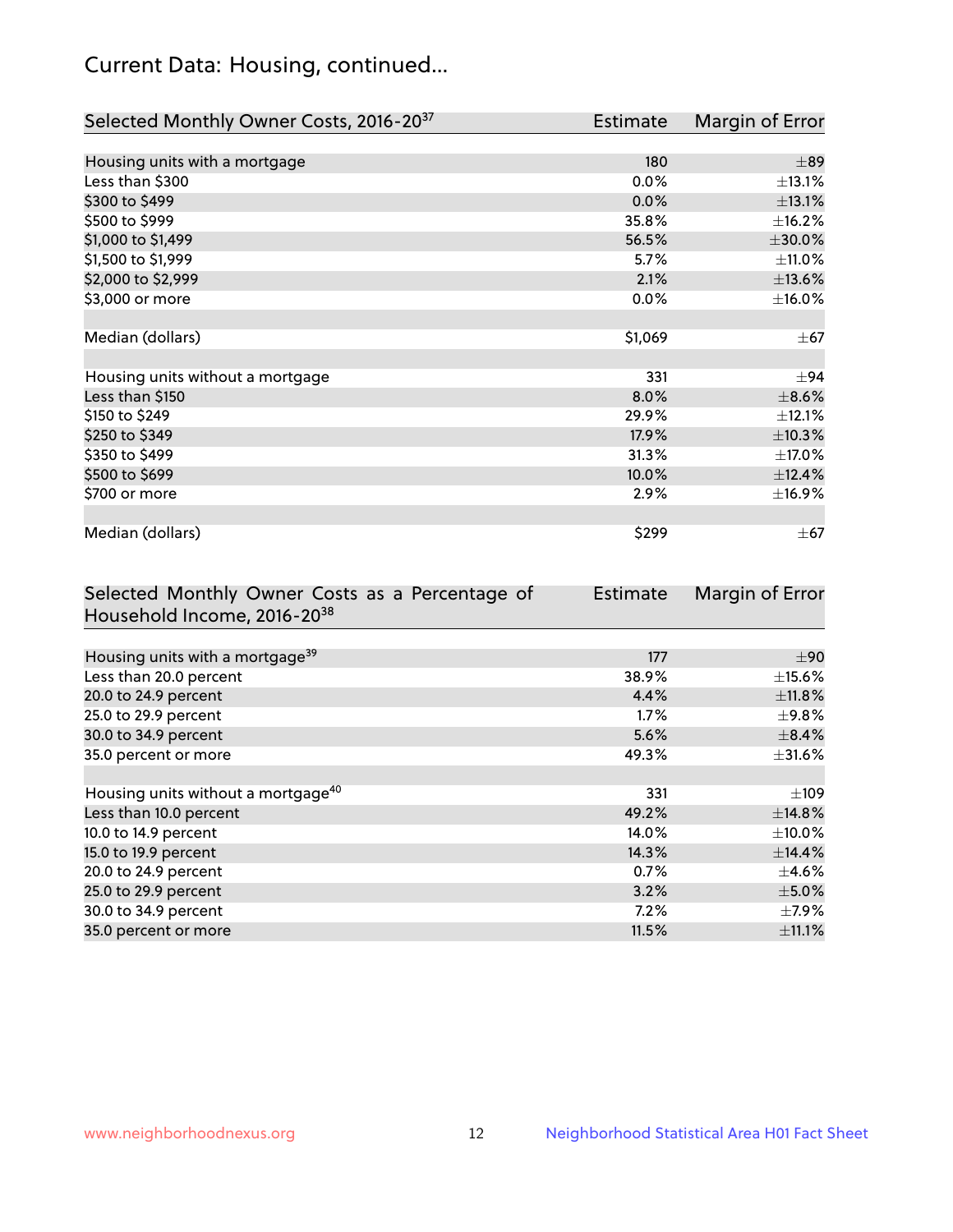## Current Data: Housing, continued...

| Selected Monthly Owner Costs, 2016-20 <sup>37</sup> | <b>Estimate</b> | Margin of Error |
|-----------------------------------------------------|-----------------|-----------------|
|                                                     |                 |                 |
| Housing units with a mortgage                       | 180             | $\pm$ 89        |
| Less than \$300                                     | 0.0%            | ±13.1%          |
| \$300 to \$499                                      | 0.0%            | ±13.1%          |
| \$500 to \$999                                      | 35.8%           | ±16.2%          |
| \$1,000 to \$1,499                                  | 56.5%           | $\pm 30.0\%$    |
| \$1,500 to \$1,999                                  | 5.7%            | ±11.0%          |
| \$2,000 to \$2,999                                  | 2.1%            | ±13.6%          |
| \$3,000 or more                                     | 0.0%            | $\pm$ 16.0%     |
|                                                     |                 |                 |
| Median (dollars)                                    | \$1,069         | $\pm$ 67        |
|                                                     |                 |                 |
| Housing units without a mortgage                    | 331             | ±94             |
| Less than \$150                                     | 8.0%            | $\pm$ 8.6%      |
| \$150 to \$249                                      | 29.9%           | ±12.1%          |
| \$250 to \$349                                      | 17.9%           | ±10.3%          |
| \$350 to \$499                                      | 31.3%           | ±17.0%          |
| \$500 to \$699                                      | 10.0%           | ±12.4%          |
| \$700 or more                                       | 2.9%            | ±16.9%          |
|                                                     |                 |                 |
| Median (dollars)                                    | \$299           | $\pm$ 67        |

| Selected Monthly Owner Costs as a Percentage of | <b>Estimate</b> | Margin of Error |
|-------------------------------------------------|-----------------|-----------------|
| Household Income, 2016-20 <sup>38</sup>         |                 |                 |
|                                                 |                 |                 |
| Housing units with a mortgage <sup>39</sup>     | 177             | $\pm 90$        |
| Less than 20.0 percent                          | 38.9%           | $\pm$ 15.6%     |
| 20.0 to 24.9 percent                            | 4.4%            | $\pm$ 11.8%     |
| 25.0 to 29.9 percent                            | $1.7\%$         | $\pm$ 9.8%      |
| 30.0 to 34.9 percent                            | 5.6%            | $\pm$ 8.4%      |
| 35.0 percent or more                            | 49.3%           | $\pm$ 31.6%     |
|                                                 |                 |                 |
| Housing units without a mortgage <sup>40</sup>  | 331             | $\pm 109$       |
| Less than 10.0 percent                          | 49.2%           | ±14.8%          |
| 10.0 to 14.9 percent                            | 14.0%           | $\pm$ 10.0%     |
| 15.0 to 19.9 percent                            | 14.3%           | ±14.4%          |
| 20.0 to 24.9 percent                            | 0.7%            | $\pm$ 4.6%      |
| 25.0 to 29.9 percent                            | 3.2%            | $\pm$ 5.0%      |
| 30.0 to 34.9 percent                            | $7.2\%$         | $\pm$ 7.9%      |
| 35.0 percent or more                            | 11.5%           | $\pm$ 11.1%     |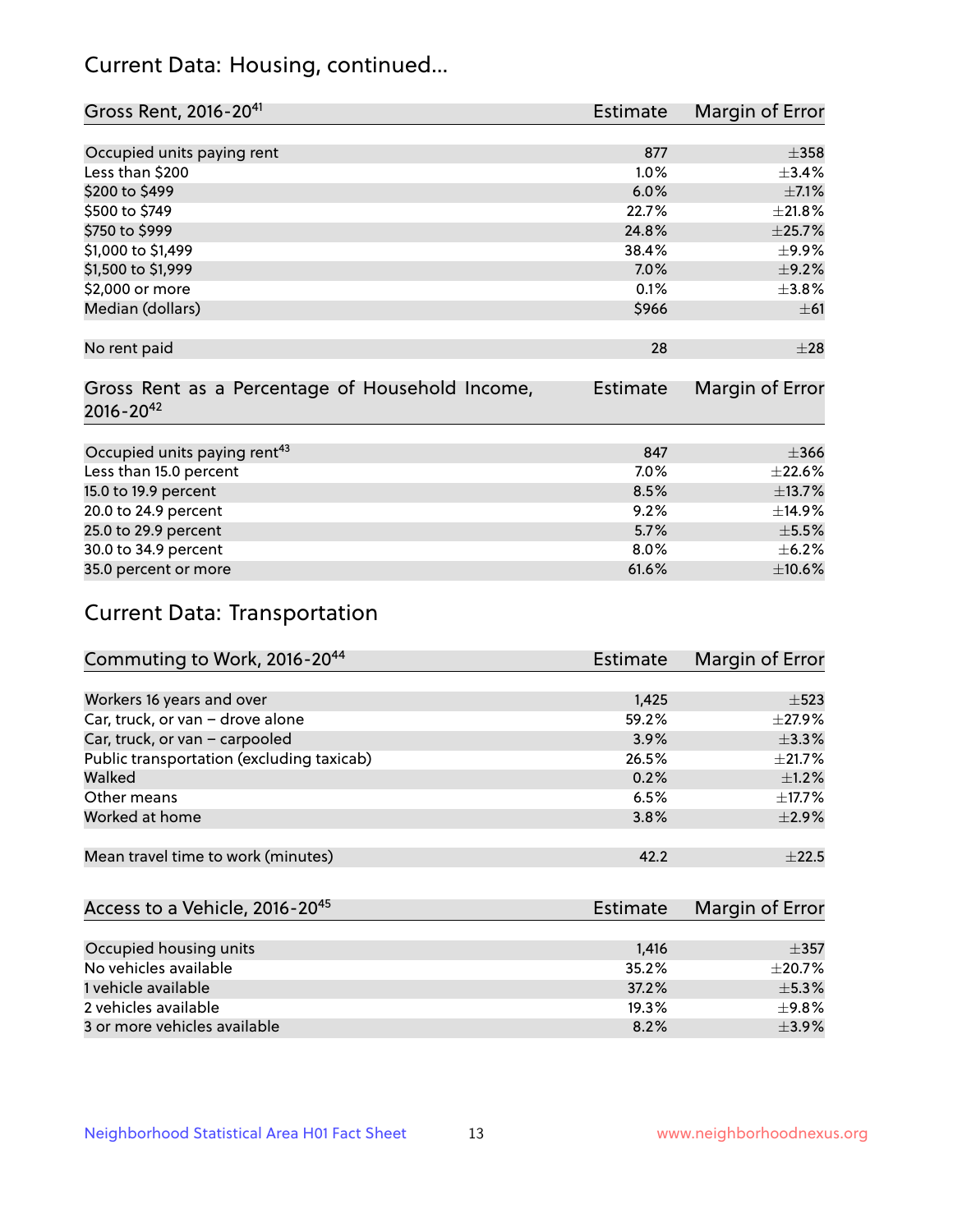## Current Data: Housing, continued...

| Gross Rent, 2016-20 <sup>41</sup>               | <b>Estimate</b> | Margin of Error |
|-------------------------------------------------|-----------------|-----------------|
|                                                 |                 |                 |
| Occupied units paying rent                      | 877             | $\pm$ 358       |
| Less than \$200                                 | 1.0%            | $\pm$ 3.4%      |
| \$200 to \$499                                  | 6.0%            | $\pm$ 7.1%      |
| \$500 to \$749                                  | 22.7%           | ±21.8%          |
| \$750 to \$999                                  | 24.8%           | ±25.7%          |
| \$1,000 to \$1,499                              | 38.4%           | $\pm$ 9.9%      |
| \$1,500 to \$1,999                              | 7.0%            | $\pm$ 9.2%      |
| \$2,000 or more                                 | 0.1%            | $\pm$ 3.8%      |
| Median (dollars)                                | \$966           | $\pm 61$        |
|                                                 |                 |                 |
| No rent paid                                    | 28              | $\pm 28$        |
|                                                 |                 |                 |
| Gross Rent as a Percentage of Household Income, | <b>Estimate</b> | Margin of Error |
| $2016 - 20^{42}$                                |                 |                 |
|                                                 |                 |                 |
| Occupied units paying rent <sup>43</sup>        | 847             | $\pm$ 366       |
| Less than 15.0 percent                          | 7.0%            | ±22.6%          |
| 15.0 to 19.9 percent                            | 8.5%            | ±13.7%          |
| 20.0 to 24.9 percent                            | 9.2%            | ±14.9%          |
| 25.0 to 29.9 percent                            | 5.7%            | $\pm$ 5.5%      |
| 30.0 to 34.9 percent                            | 8.0%            | $\pm$ 6.2%      |
| 35.0 percent or more                            | 61.6%           | $\pm$ 10.6%     |

# Current Data: Transportation

| Commuting to Work, 2016-20 <sup>44</sup>  | <b>Estimate</b> | Margin of Error |
|-------------------------------------------|-----------------|-----------------|
|                                           |                 |                 |
| Workers 16 years and over                 | 1,425           | $\pm$ 523       |
| Car, truck, or van - drove alone          | 59.2%           | $\pm$ 27.9%     |
| Car, truck, or van - carpooled            | 3.9%            | $\pm$ 3.3%      |
| Public transportation (excluding taxicab) | 26.5%           | $\pm 21.7\%$    |
| Walked                                    | 0.2%            | $\pm$ 1.2%      |
| Other means                               | 6.5%            | $\pm$ 17.7%     |
| Worked at home                            | 3.8%            | $\pm 2.9\%$     |
|                                           |                 |                 |
| Mean travel time to work (minutes)        | 42.2            | $+22.5$         |

| Access to a Vehicle, 2016-20 <sup>45</sup> | Estimate | Margin of Error |
|--------------------------------------------|----------|-----------------|
|                                            |          |                 |
| Occupied housing units                     | 1,416    | $\pm$ 357       |
| No vehicles available                      | 35.2%    | $\pm 20.7\%$    |
| 1 vehicle available                        | 37.2%    | $\pm$ 5.3%      |
| 2 vehicles available                       | 19.3%    | ±9.8%           |
| 3 or more vehicles available               | 8.2%     | $+3.9%$         |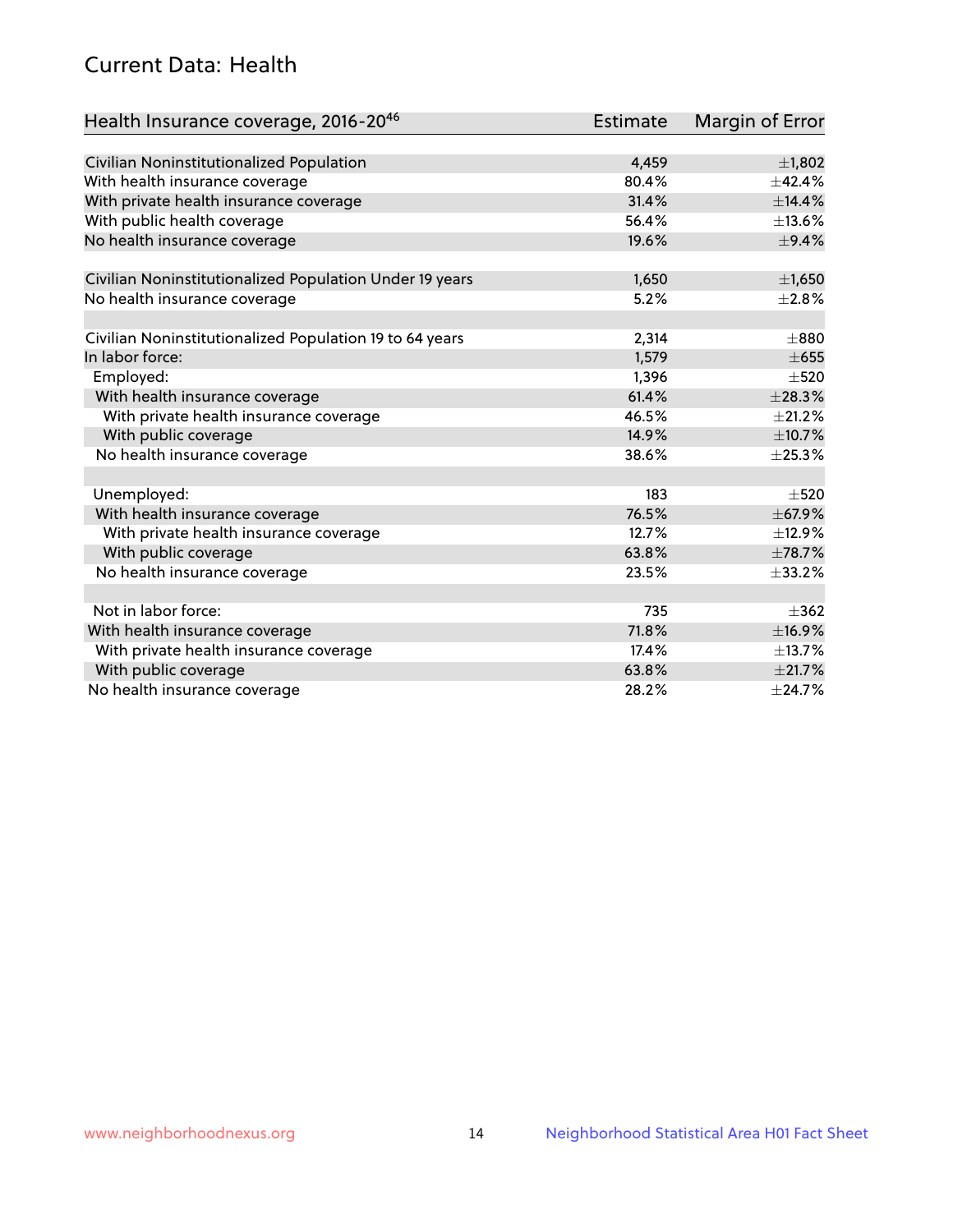## Current Data: Health

| Health Insurance coverage, 2016-2046                    | <b>Estimate</b> | Margin of Error |
|---------------------------------------------------------|-----------------|-----------------|
|                                                         |                 |                 |
| Civilian Noninstitutionalized Population                | 4,459           | ±1,802          |
| With health insurance coverage                          | 80.4%           | ±42.4%          |
| With private health insurance coverage                  | 31.4%           | ±14.4%          |
| With public health coverage                             | 56.4%           | ±13.6%          |
| No health insurance coverage                            | 19.6%           | $\pm$ 9.4%      |
| Civilian Noninstitutionalized Population Under 19 years | 1,650           | $\pm$ 1,650     |
|                                                         | 5.2%            | $\pm 2.8\%$     |
| No health insurance coverage                            |                 |                 |
| Civilian Noninstitutionalized Population 19 to 64 years | 2,314           | $\pm 880$       |
| In labor force:                                         | 1,579           | $\pm 655$       |
| Employed:                                               | 1,396           | $\pm$ 520       |
| With health insurance coverage                          | 61.4%           | ±28.3%          |
| With private health insurance coverage                  | 46.5%           | $\pm 21.2\%$    |
| With public coverage                                    | 14.9%           | ±10.7%          |
| No health insurance coverage                            | 38.6%           | $\pm$ 25.3%     |
|                                                         |                 |                 |
| Unemployed:                                             | 183             | $\pm$ 520       |
| With health insurance coverage                          | 76.5%           | ±67.9%          |
| With private health insurance coverage                  | 12.7%           | ±12.9%          |
| With public coverage                                    | 63.8%           | ±78.7%          |
| No health insurance coverage                            | 23.5%           | ±33.2%          |
|                                                         |                 |                 |
| Not in labor force:                                     | 735             | $\pm$ 362       |
| With health insurance coverage                          | 71.8%           | ±16.9%          |
| With private health insurance coverage                  | 17.4%           | ±13.7%          |
| With public coverage                                    | 63.8%           | $\pm 21.7\%$    |
| No health insurance coverage                            | 28.2%           | ±24.7%          |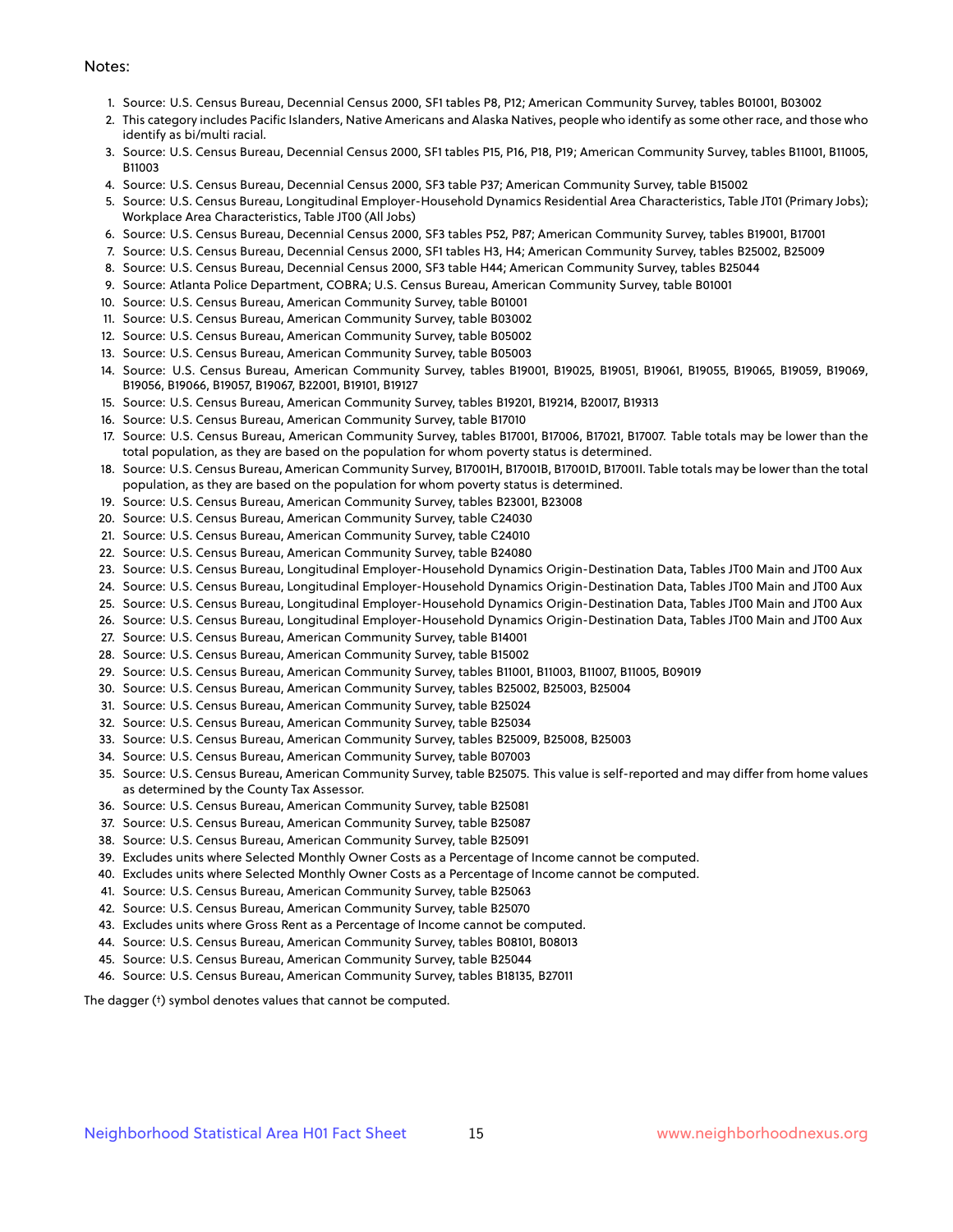#### Notes:

- 1. Source: U.S. Census Bureau, Decennial Census 2000, SF1 tables P8, P12; American Community Survey, tables B01001, B03002
- 2. This category includes Pacific Islanders, Native Americans and Alaska Natives, people who identify as some other race, and those who identify as bi/multi racial.
- 3. Source: U.S. Census Bureau, Decennial Census 2000, SF1 tables P15, P16, P18, P19; American Community Survey, tables B11001, B11005, B11003
- 4. Source: U.S. Census Bureau, Decennial Census 2000, SF3 table P37; American Community Survey, table B15002
- 5. Source: U.S. Census Bureau, Longitudinal Employer-Household Dynamics Residential Area Characteristics, Table JT01 (Primary Jobs); Workplace Area Characteristics, Table JT00 (All Jobs)
- 6. Source: U.S. Census Bureau, Decennial Census 2000, SF3 tables P52, P87; American Community Survey, tables B19001, B17001
- 7. Source: U.S. Census Bureau, Decennial Census 2000, SF1 tables H3, H4; American Community Survey, tables B25002, B25009
- 8. Source: U.S. Census Bureau, Decennial Census 2000, SF3 table H44; American Community Survey, tables B25044
- 9. Source: Atlanta Police Department, COBRA; U.S. Census Bureau, American Community Survey, table B01001
- 10. Source: U.S. Census Bureau, American Community Survey, table B01001
- 11. Source: U.S. Census Bureau, American Community Survey, table B03002
- 12. Source: U.S. Census Bureau, American Community Survey, table B05002
- 13. Source: U.S. Census Bureau, American Community Survey, table B05003
- 14. Source: U.S. Census Bureau, American Community Survey, tables B19001, B19025, B19051, B19061, B19055, B19065, B19059, B19069, B19056, B19066, B19057, B19067, B22001, B19101, B19127
- 15. Source: U.S. Census Bureau, American Community Survey, tables B19201, B19214, B20017, B19313
- 16. Source: U.S. Census Bureau, American Community Survey, table B17010
- 17. Source: U.S. Census Bureau, American Community Survey, tables B17001, B17006, B17021, B17007. Table totals may be lower than the total population, as they are based on the population for whom poverty status is determined.
- 18. Source: U.S. Census Bureau, American Community Survey, B17001H, B17001B, B17001D, B17001I. Table totals may be lower than the total population, as they are based on the population for whom poverty status is determined.
- 19. Source: U.S. Census Bureau, American Community Survey, tables B23001, B23008
- 20. Source: U.S. Census Bureau, American Community Survey, table C24030
- 21. Source: U.S. Census Bureau, American Community Survey, table C24010
- 22. Source: U.S. Census Bureau, American Community Survey, table B24080
- 23. Source: U.S. Census Bureau, Longitudinal Employer-Household Dynamics Origin-Destination Data, Tables JT00 Main and JT00 Aux
- 24. Source: U.S. Census Bureau, Longitudinal Employer-Household Dynamics Origin-Destination Data, Tables JT00 Main and JT00 Aux
- 25. Source: U.S. Census Bureau, Longitudinal Employer-Household Dynamics Origin-Destination Data, Tables JT00 Main and JT00 Aux
- 26. Source: U.S. Census Bureau, Longitudinal Employer-Household Dynamics Origin-Destination Data, Tables JT00 Main and JT00 Aux
- 27. Source: U.S. Census Bureau, American Community Survey, table B14001
- 28. Source: U.S. Census Bureau, American Community Survey, table B15002
- 29. Source: U.S. Census Bureau, American Community Survey, tables B11001, B11003, B11007, B11005, B09019
- 30. Source: U.S. Census Bureau, American Community Survey, tables B25002, B25003, B25004
- 31. Source: U.S. Census Bureau, American Community Survey, table B25024
- 32. Source: U.S. Census Bureau, American Community Survey, table B25034
- 33. Source: U.S. Census Bureau, American Community Survey, tables B25009, B25008, B25003
- 34. Source: U.S. Census Bureau, American Community Survey, table B07003
- 35. Source: U.S. Census Bureau, American Community Survey, table B25075. This value is self-reported and may differ from home values as determined by the County Tax Assessor.
- 36. Source: U.S. Census Bureau, American Community Survey, table B25081
- 37. Source: U.S. Census Bureau, American Community Survey, table B25087
- 38. Source: U.S. Census Bureau, American Community Survey, table B25091
- 39. Excludes units where Selected Monthly Owner Costs as a Percentage of Income cannot be computed.
- 40. Excludes units where Selected Monthly Owner Costs as a Percentage of Income cannot be computed.
- 41. Source: U.S. Census Bureau, American Community Survey, table B25063
- 42. Source: U.S. Census Bureau, American Community Survey, table B25070
- 43. Excludes units where Gross Rent as a Percentage of Income cannot be computed.
- 44. Source: U.S. Census Bureau, American Community Survey, tables B08101, B08013
- 45. Source: U.S. Census Bureau, American Community Survey, table B25044
- 46. Source: U.S. Census Bureau, American Community Survey, tables B18135, B27011

The dagger (†) symbol denotes values that cannot be computed.